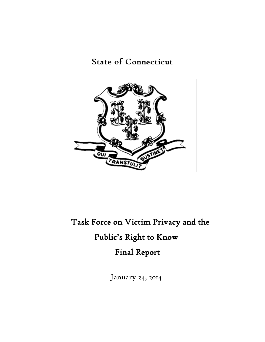## **State of Connecticut**



# Task Force on Victim Privacy and the Public's Right to Know Final Report

January 24, 2014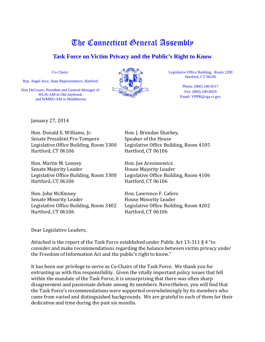## **Task Force on Victim Privacy and the Public's Right to Know**

Co-Chairs:

Rep. Angel Arce, State Representative, Hartford

Don DeCesare, President and General Manager of WLIS-AM in Old Saybrook and WMRD-AM in Middletown



Legislative Office Building, Room 2200 Hartford, CT 06106

> Phone: (860) 240-8517 Fax: (860) 240-8429 Email: VPPR@cga.ct.gov

January 27, 2014

Hon. Donald E. Williams, Jr. Hon. J. Brendan Sharkey,<br>Senate President Pro-Tempore Speaker of the House Senate President Pro-Tempore Speaker of the House<br>Legislative Office Building, Room 3300 Legislative Office Building, Room 4105 Legislative Office Building, Room 3300 Legislative Office Bu<br>Hartford, CT 06106 Hartford, CT 06106 Hartford, CT 06106

Hon. Martin M. Looney Hon. Joe Aresimowicz Senate Majority Leader<br>
Legislative Office Building, Room 3300 Legislative Office Building, Room 4106 Legislative Office Building, Room 3300<br>Hartford, CT 06106

Hon. John McKinney Hon. Lawrence F. Cafero Legislative Office Building, Room 3402 Legislative Office Bu<br>Hartford, CT 06106 Hartford, CT 06106 Hartford, CT 06106

Hartford, CT 06106

Senate Minority Leader<br>
Legislative Office Building, Room 3402 Legislative Office Building, Room 4202

Dear Legislative Leaders,

Attached is the report of the Task Force established under Public Act 13-311 § 4 "to consider and make recommendations regarding the balance between victim privacy under the Freedom of Information Act and the public's right to know."

It has been our privilege to serve as Co-Chairs of the Task Force. We thank you for entrusting us with this responsibility. Given the vitally important policy issues that fell within the mandate of the Task Force, it is unsurprising that there was often sharp disagreement and passionate debate among its members. Nevertheless, you will find that the Task Force's recommendations were supported overwhelmingly by its members who came from varied and distinguished backgrounds. We are grateful to each of them for their dedication and time during the past six months.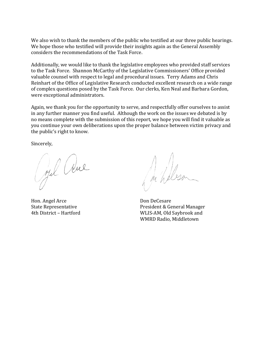We also wish to thank the members of the public who testified at our three public hearings. We hope those who testified will provide their insights again as the General Assembly considers the recommendations of the Task Force.

Additionally, we would like to thank the legislative employees who provided staff services to the Task Force. Shannon McCarthy of the Legislative Commissioners' Office provided valuable counsel with respect to legal and procedural issues. Terry Adams and Chris Reinhart of the Office of Legislative Research conducted excellent research on a wide range of complex questions posed by the Task Force. Our clerks, Ken Neal and Barbara Gordon, were exceptional administrators.

Again, we thank you for the opportunity to serve, and respectfully offer ourselves to assist in any further manner you find useful. Although the work on the issues we debated is by no means complete with the submission of this report, we hope you will find it valuable as you continue your own deliberations upon the proper balance between victim privacy and the public's right to know.

Sincerely,

John Clue

Hon. Angel Arce Don DeCesare<br>State Representative President & Ge

Ju heless

State Representative<br>
4th District – Hartford<br>
2008 - President & General Manager<br>
21. WLIS-AM, Old Savbrook and WLIS-AM, Old Saybrook and WMRD Radio, Middletown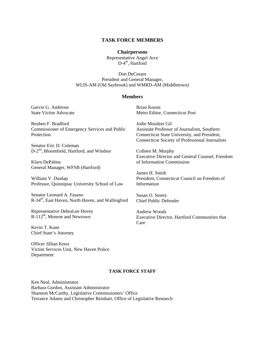#### **TASK FORCE MEMBERS**

#### **Chairpersons**

Representative Angel Arce  $D-4<sup>th</sup>$ , Hartford

Don DeCesare President and General Manager, WLIS-AM (Old Saybrook) and WMRD-AM (Middletown)

#### **Members**

Garvin G. Ambrose State Victim Advocate

Reuben F. Bradford Commissioner of Emergency Services and Public **Protection** 

Senator Eric D. Coleman D-2<sup>nd</sup>, Bloomfield, Hartford, and Windsor

Klarn DePalma General Manager, WFSB (Hartford)

William V. Dunlap Professor, Quinnipiac University School of Law

Senator Leonard A. Fasano R-34<sup>th</sup>, East Haven, North Haven, and Wallingford

Representative DebraLee Hovey  $R-112^{th}$ , Monroe and Newtown

Kevin T. Kane Chief State's Attorney

Officer Jillian Knox Victim Services Unit, New Haven Police Department

Brian Koonz Metro Editor, Connecticut Post

Jodie Mozdzer Gil Assistant Professor of Journalism, Southern Connecticut State University, and President, Connecticut Society of Professional Journalists

Colleen M. Murphy Executive Director and General Counsel, Freedom of Information Commission

James H. Smith President, Connecticut Council on Freedom of Information

Susan O. Storey Chief Public Defender

Andrew Woods Executive Director, Hartford Communities that Care

#### **TASK FORCE STAFF**

Ken Neal, Administrator Barbara Gordon, Assistant Administrator Shannon McCarthy, Legislative Commissioners' Office Terrance Adams and Christopher Reinhart, Office of Legislative Research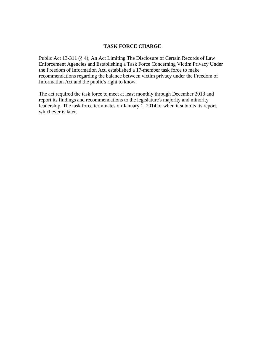## **TASK FORCE CHARGE**

Public Act 13-311 (§ 4), An Act Limiting The Disclosure of Certain Records of Law Enforcement Agencies and Establishing a Task Force Concerning Victim Privacy Under the Freedom of Information Act, established a 17-member task force to make recommendations regarding the balance between victim privacy under the Freedom of Information Act and the public's right to know.

The act required the task force to meet at least monthly through December 2013 and report its findings and recommendations to the legislature's majority and minority leadership. The task force terminates on January 1, 2014 or when it submits its report, whichever is later.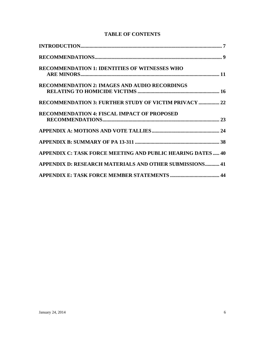| <b>RECOMMENDATION 1: IDENTITIES OF WITNESSES WHO</b>              |
|-------------------------------------------------------------------|
| <b>RECOMMENDATION 2: IMAGES AND AUDIO RECORDINGS</b>              |
|                                                                   |
| RECOMMENDATION 3: FURTHER STUDY OF VICTIM PRIVACY  22             |
| <b>RECOMMENDATION 4: FISCAL IMPACT OF PROPOSED</b>                |
|                                                                   |
|                                                                   |
|                                                                   |
| <b>APPENDIX C: TASK FORCE MEETING AND PUBLIC HEARING DATES 40</b> |
| <b>APPENDIX D: RESEARCH MATERIALS AND OTHER SUBMISSIONS 41</b>    |
|                                                                   |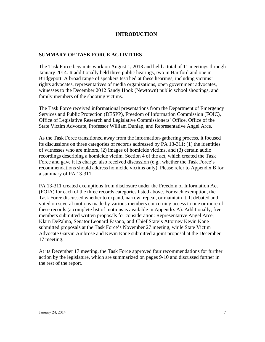## **INTRODUCTION**

## **SUMMARY OF TASK FORCE ACTIVITIES**

The Task Force began its work on August 1, 2013 and held a total of 11 meetings through January 2014. It additionally held three public hearings, two in Hartford and one in Bridgeport. A broad range of speakers testified at these hearings, including victims' rights advocates, representatives of media organizations, open government advocates, witnesses to the December 2012 Sandy Hook (Newtown) public school shootings, and family members of the shooting victims.

The Task Force received informational presentations from the Department of Emergency Services and Public Protection (DESPP), Freedom of Information Commission (FOIC), Office of Legislative Research and Legislative Commissioners' Office, Office of the State Victim Advocate, Professor William Dunlap, and Representative Angel Arce.

As the Task Force transitioned away from the information-gathering process, it focused its discussions on three categories of records addressed by PA 13-311: (1) the identities of witnesses who are minors, (2) images of homicide victims, and (3) certain audio recordings describing a homicide victim. Section 4 of the act, which created the Task Force and gave it its charge, also received discussion (e.g., whether the Task Force's recommendations should address homicide victims only). Please refer to Appendix B for a summary of PA 13-311.

PA 13-311 created exemptions from disclosure under the Freedom of Information Act (FOIA) for each of the three records categories listed above. For each exemption, the Task Force discussed whether to expand, narrow, repeal, or maintain it. It debated and voted on several motions made by various members concerning access to one or more of these records (a complete list of motions is available in Appendix A). Additionally, five members submitted written proposals for consideration: Representative Angel Arce, Klarn DePalma, Senator Leonard Fasano, and Chief State's Attorney Kevin Kane submitted proposals at the Task Force's November 27 meeting, while State Victim Advocate Garvin Ambrose and Kevin Kane submitted a joint proposal at the December 17 meeting.

At its December 17 meeting, the Task Force approved four recommendations for further action by the legislature, which are summarized on pages 9-10 and discussed further in the rest of the report.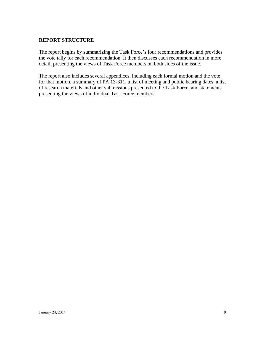## **REPORT STRUCTURE**

The report begins by summarizing the Task Force's four recommendations and provides the vote tally for each recommendation. It then discusses each recommendation in more detail, presenting the views of Task Force members on both sides of the issue.

The report also includes several appendices, including each formal motion and the vote for that motion, a summary of PA 13-311, a list of meeting and public hearing dates, a list of research materials and other submissions presented to the Task Force, and statements presenting the views of individual Task Force members.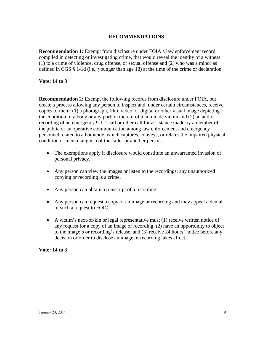## **RECOMMENDATIONS**

**Recommendation 1:** Exempt from disclosure under FOIA a law enforcement record, compiled in detecting or investigating crime, that would reveal the identity of a witness (1) to a crime of violence, drug offense, or sexual offense and (2) who was a minor as defined in CGS § 1-1d (i.e., younger than age 18) at the time of the crime or declaration.

### **Vote: 14 to 3**

**Recommendation 2:** Exempt the following records from disclosure under FOIA, but create a process allowing any person to inspect and, under certain circumstances, receive copies of them: (1) a photograph, film, video, or digital or other visual image depicting the condition of a body or any portion thereof of a homicide victim and (2) an audio recording of an emergency 9-1-1 call or other call for assistance made by a member of the public or an operative communication among law enforcement and emergency personnel related to a homicide, which captures, conveys, or relates the impaired physical condition or mental anguish of the caller or another person.

- The exemptions apply if disclosure would constitute an unwarranted invasion of personal privacy.
- Any person can view the images or listen to the recordings; any unauthorized copying or recording is a crime.
- Any person can obtain a transcript of a recording.
- Any person can request a copy of an image or recording and may appeal a denial of such a request to FOIC.
- A victim's next-of-kin or legal representative must (1) receive written notice of any request for a copy of an image or recording, (2) have an opportunity to object to the image's or recording's release, and (3) receive 24 hours' notice before any decision or order to disclose an image or recording takes effect.

### **Vote: 14 to 3**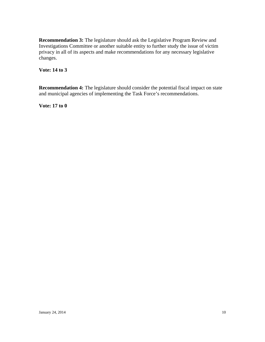**Recommendation 3:** The legislature should ask the Legislative Program Review and Investigations Committee or another suitable entity to further study the issue of victim privacy in all of its aspects and make recommendations for any necessary legislative changes.

**Vote: 14 to 3**

**Recommendation 4:** The legislature should consider the potential fiscal impact on state and municipal agencies of implementing the Task Force's recommendations.

**Vote: 17 to 0**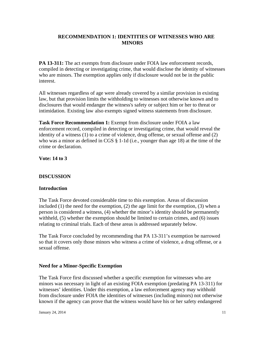## **RECOMMENDATION 1: IDENTITIES OF WITNESSES WHO ARE MINORS**

**PA 13-311:** The act exempts from disclosure under FOIA law enforcement records, compiled in detecting or investigating crime, that would disclose the identity of witnesses who are minors. The exemption applies only if disclosure would not be in the public interest.

All witnesses regardless of age were already covered by a similar provision in existing law, but that provision limits the withholding to witnesses not otherwise known and to disclosures that would endanger the witness's safety or subject him or her to threat or intimidation. Existing law also exempts signed witness statements from disclosure.

**Task Force Recommendation 1:** Exempt from disclosure under FOIA a law enforcement record, compiled in detecting or investigating crime, that would reveal the identity of a witness (1) to a crime of violence, drug offense, or sexual offense and (2) who was a minor as defined in CGS § 1-1d (i.e., younger than age 18) at the time of the crime or declaration.

**Vote: 14 to 3**

## **DISCUSSION**

## **Introduction**

The Task Force devoted considerable time to this exemption. Areas of discussion included  $(1)$  the need for the exemption,  $(2)$  the age limit for the exemption,  $(3)$  when a person is considered a witness, (4) whether the minor's identity should be permanently withheld, (5) whether the exemption should be limited to certain crimes, and (6) issues relating to criminal trials. Each of these areas is addressed separately below.

The Task Force concluded by recommending that PA 13-311's exemption be narrowed so that it covers only those minors who witness a crime of violence, a drug offense, or a sexual offense.

## **Need for a Minor-Specific Exemption**

The Task Force first discussed whether a specific exemption for witnesses who are minors was necessary in light of an existing FOIA exemption (predating PA 13-311) for witnesses' identities. Under this exemption, a law enforcement agency may withhold from disclosure under FOIA the identities of witnesses (including minors) not otherwise known if the agency can prove that the witness would have his or her safety endangered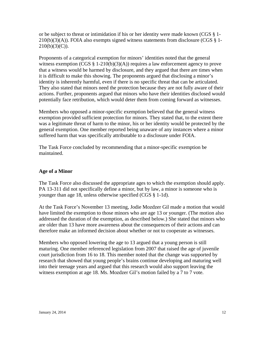or be subject to threat or intimidation if his or her identity were made known (CGS § 1-  $210(b)(3)(A)$ ). FOIA also exempts signed witness statements from disclosure (CGS  $\S$  1- $210(b)(3)(C)$ ).

Proponents of a categorical exemption for minors' identities noted that the general witness exemption (CGS  $\S$  1-210(b)(3)(A)) requires a law enforcement agency to prove that a witness would be harmed by disclosure, and they argued that there are times when it is difficult to make this showing. The proponents argued that disclosing a minor's identity is inherently harmful, even if there is no specific threat that can be articulated. They also stated that minors need the protection because they are not fully aware of their actions. Further, proponents argued that minors who have their identities disclosed would potentially face retribution, which would deter them from coming forward as witnesses.

Members who opposed a minor-specific exemption believed that the general witness exemption provided sufficient protection for minors. They stated that, to the extent there was a legitimate threat of harm to the minor, his or her identity would be protected by the general exemption. One member reported being unaware of any instances where a minor suffered harm that was specifically attributable to a disclosure under FOIA.

The Task Force concluded by recommending that a minor-specific exemption be maintained.

## **Age of a Minor**

The Task Force also discussed the appropriate ages to which the exemption should apply. PA 13-311 did not specifically define a minor, but by law, a minor is someone who is younger than age 18, unless otherwise specified (CGS § 1-1d).

At the Task Force's November 13 meeting, Jodie Mozdzer Gil made a motion that would have limited the exemption to those minors who are age 13 or younger. (The motion also addressed the duration of the exemption, as described below.) She stated that minors who are older than 13 have more awareness about the consequences of their actions and can therefore make an informed decision about whether or not to cooperate as witnesses.

Members who opposed lowering the age to 13 argued that a young person is still maturing. One member referenced legislation from 2007 that raised the age of juvenile court jurisdiction from 16 to 18. This member noted that the change was supported by research that showed that young people's brains continue developing and maturing well into their teenage years and argued that this research would also support leaving the witness exemption at age 18. Ms. Mozdzer Gil's motion failed by a 7 to 7 vote.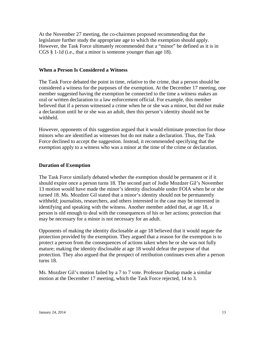At the November 27 meeting, the co-chairmen proposed recommending that the legislature further study the appropriate age to which the exemption should apply. However, the Task Force ultimately recommended that a "minor" be defined as it is in CGS § 1-1d (i.e., that a minor is someone younger than age 18).

#### **When a Person Is Considered a Witness**

The Task Force debated the point in time, relative to the crime, that a person should be considered a witness for the purposes of the exemption. At the December 17 meeting, one member suggested having the exemption be connected to the time a witness makes an oral or written declaration to a law enforcement official. For example, this member believed that if a person witnessed a crime when he or she was a minor, but did not make a declaration until he or she was an adult, then this person's identity should not be withheld.

However, opponents of this suggestion argued that it would eliminate protection for those minors who are identified as witnesses but do not make a declaration. Thus, the Task Force declined to accept the suggestion. Instead, it recommended specifying that the exemption apply to a witness who was a minor at the time of the crime or declaration.

#### **Duration of Exemption**

The Task Force similarly debated whether the exemption should be permanent or if it should expire once a person turns 18. The second part of Jodie Mozdzer Gil's November 13 motion would have made the minor's identity disclosable under FOIA when he or she turned 18. Ms. Mozdzer Gil stated that a minor's identity should not be permanently withheld; journalists, researchers, and others interested in the case may be interested in identifying and speaking with the witness. Another member added that, at age 18, a person is old enough to deal with the consequences of his or her actions; protection that may be necessary for a minor is not necessary for an adult.

Opponents of making the identity disclosable at age 18 believed that it would negate the protection provided by the exemption. They argued that a reason for the exemption is to protect a person from the consequences of actions taken when he or she was not fully mature; making the identity disclosable at age 18 would defeat the purpose of that protection. They also argued that the prospect of retribution continues even after a person turns 18.

Ms. Mozdzer Gil's motion failed by a 7 to 7 vote. Professor Dunlap made a similar motion at the December 17 meeting, which the Task Force rejected, 14 to 3.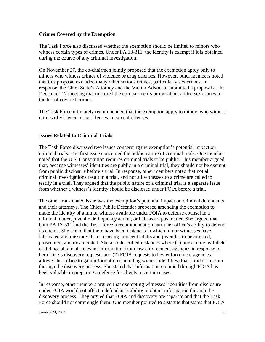### **Crimes Covered by the Exemption**

The Task Force also discussed whether the exemption should be limited to minors who witness certain types of crimes. Under PA 13-311, the identity is exempt if it is obtained during the course of any criminal investigation.

On November 27, the co-chairmen jointly proposed that the exemption apply only to minors who witness crimes of violence or drug offenses. However, other members noted that this proposal excluded many other serious crimes, particularly sex crimes. In response, the Chief State's Attorney and the Victim Advocate submitted a proposal at the December 17 meeting that mirrored the co-chairmen's proposal but added sex crimes to the list of covered crimes.

The Task Force ultimately recommended that the exemption apply to minors who witness crimes of violence, drug offenses, or sexual offenses.

### **Issues Related to Criminal Trials**

The Task Force discussed two issues concerning the exemption's potential impact on criminal trials. The first issue concerned the public nature of criminal trials. One member noted that the U.S. Constitution requires criminal trials to be public. This member argued that, because witnesses' identities are public in a criminal trial, they should not be exempt from public disclosure before a trial. In response, other members noted that not all criminal investigations result in a trial, and not all witnesses to a crime are called to testify in a trial. They argued that the public nature of a criminal trial is a separate issue from whether a witness's identity should be disclosed under FOIA before a trial.

The other trial-related issue was the exemption's potential impact on criminal defendants and their attorneys. The Chief Public Defender proposed amending the exemption to make the identity of a minor witness available under FOIA to defense counsel in a criminal matter, juvenile delinquency action, or habeas corpus matter. She argued that both PA 13-311 and the Task Force's recommendation harm her office's ability to defend its clients. She stated that there have been instances in which minor witnesses have fabricated and misstated facts, causing innocent adults and juveniles to be arrested, prosecuted, and incarcerated. She also described instances where (1) prosecutors withheld or did not obtain all relevant information from law enforcement agencies in response to her office's discovery requests and (2) FOIA requests to law enforcement agencies allowed her office to gain information (including witness identities) that it did not obtain through the discovery process. She stated that information obtained through FOIA has been valuable in preparing a defense for clients in certain cases.

In response, other members argued that exempting witnesses' identities from disclosure under FOIA would not affect a defendant's ability to obtain information through the discovery process. They argued that FOIA and discovery are separate and that the Task Force should not commingle them. One member pointed to a statute that states that FOIA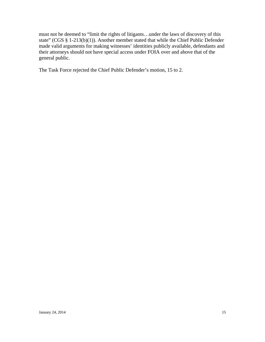must not be deemed to "limit the rights of litigants…under the laws of discovery of this state" (CGS § 1-213(b)(1)). Another member stated that while the Chief Public Defender made valid arguments for making witnesses' identities publicly available, defendants and their attorneys should not have special access under FOIA over and above that of the general public.

The Task Force rejected the Chief Public Defender's motion, 15 to 2.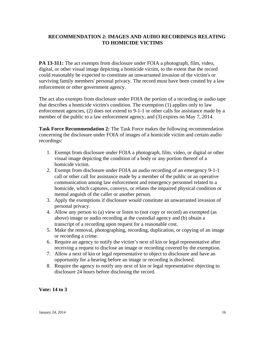## **RECOMMENDATION 2: IMAGES AND AUDIO RECORDINGS RELATING TO HOMICIDE VICTIMS**

**PA 13-311:** The act exempts from disclosure under FOIA a photograph, film, video, digital, or other visual image depicting a homicide victim, to the extent that the record could reasonably be expected to constitute an unwarranted invasion of the victim's or surviving family members' personal privacy. The record must have been created by a law enforcement or other government agency.

The act also exempts from disclosure under FOIA the portion of a recording or audio tape that describes a homicide victim's condition. The exemption (1) applies only to law enforcement agencies, (2) does not extend to 9-1-1 or other calls for assistance made by a member of the public to a law enforcement agency, and (3) expires on May 7, 2014.

**Task Force Recommendation 2:** The Task Force makes the following recommendation concerning the disclosure under FOIA of images of a homicide victim and certain audio recordings:

- 1. Exempt from disclosure under FOIA a photograph, film, video, or digital or other visual image depicting the condition of a body or any portion thereof of a homicide victim.
- 2. Exempt from disclosure under FOIA an audio recording of an emergency 9-1-1 call or other call for assistance made by a member of the public or an operative communication among law enforcement and emergency personnel related to a homicide, which captures, conveys, or relates the impaired physical condition or mental anguish of the caller or another person.
- 3. Apply the exemptions if disclosure would constitute an unwarranted invasion of personal privacy.
- 4. Allow any person to (a) view or listen to (not copy or record) an exempted (as above) image or audio recording at the custodial agency and (b) obtain a transcript of a recording upon request for a reasonable cost.
- 5. Make the removal, photographing, recording, duplication, or copying of an image or recording a crime.
- 6. Require an agency to notify the victim's next of kin or legal representative after receiving a request to disclose an image or recording covered by the exemption.
- 7. Allow a next of kin or legal representative to object to disclosure and have an opportunity for a hearing before an image or recording is disclosed.
- 8. Require the agency to notify any next of kin or legal representative objecting to disclosure 24 hours before disclosing the record.

## **Vote: 14 to 3**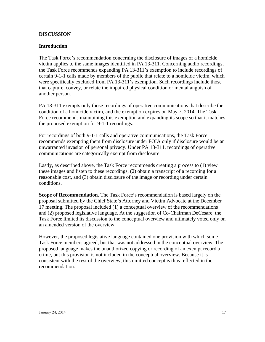### **DISCUSSION**

### **Introduction**

The Task Force's recommendation concerning the disclosure of images of a homicide victim applies to the same images identified in PA 13-311. Concerning audio recordings, the Task Force recommends expanding PA 13-311's exemption to include recordings of certain 9-1-1 calls made by members of the public that relate to a homicide victim, which were specifically excluded from PA 13-311's exemption. Such recordings include those that capture, convey, or relate the impaired physical condition or mental anguish of another person.

PA 13-311 exempts only those recordings of operative communications that describe the condition of a homicide victim, and the exemption expires on May 7, 2014. The Task Force recommends maintaining this exemption and expanding its scope so that it matches the proposed exemption for 9-1-1 recordings.

For recordings of both 9-1-1 calls and operative communications, the Task Force recommends exempting them from disclosure under FOIA only if disclosure would be an unwarranted invasion of personal privacy. Under PA 13-311, recordings of operative communications are categorically exempt from disclosure.

Lastly, as described above, the Task Force recommends creating a process to (1) view these images and listen to these recordings, (2) obtain a transcript of a recording for a reasonable cost, and (3) obtain disclosure of the image or recording under certain conditions.

**Scope of Recommendation.** The Task Force's recommendation is based largely on the proposal submitted by the Chief State's Attorney and Victim Advocate at the December 17 meeting. The proposal included (1) a conceptual overview of the recommendations and (2) proposed legislative language. At the suggestion of Co-Chairman DeCesare, the Task Force limited its discussion to the conceptual overview and ultimately voted only on an amended version of the overview.

However, the proposed legislative language contained one provision with which some Task Force members agreed, but that was not addressed in the conceptual overview. The proposed language makes the unauthorized copying or recording of an exempt record a crime, but this provision is not included in the conceptual overview. Because it is consistent with the rest of the overview, this omitted concept is thus reflected in the recommendation.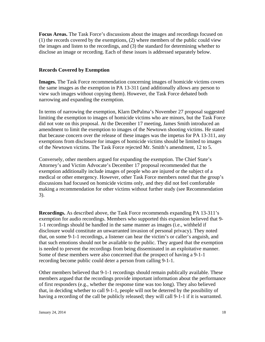**Focus Areas.** The Task Force's discussions about the images and recordings focused on (1) the records covered by the exemptions, (2) where members of the public could view the images and listen to the recordings, and (3) the standard for determining whether to disclose an image or recording. Each of these issues is addressed separately below.

### **Records Covered by Exemption**

**Images.** The Task Force recommendation concerning images of homicide victims covers the same images as the exemption in PA 13-311 (and additionally allows any person to view such images without copying them). However, the Task Force debated both narrowing and expanding the exemption.

In terms of narrowing the exemption, Klarn DePalma's November 27 proposal suggested limiting the exemption to images of homicide victims who are minors, but the Task Force did not vote on this proposal. At the December 17 meeting, James Smith introduced an amendment to limit the exemption to images of the Newtown shooting victims. He stated that because concern over the release of these images was the impetus for PA 13-311, any exemptions from disclosure for images of homicide victims should be limited to images of the Newtown victims. The Task Force rejected Mr. Smith's amendment, 12 to 5.

Conversely, other members argued for expanding the exemption. The Chief State's Attorney's and Victim Advocate's December 17 proposal recommended that the exemption additionally include images of people who are injured or the subject of a medical or other emergency. However, other Task Force members noted that the group's discussions had focused on homicide victims only, and they did not feel comfortable making a recommendation for other victims without further study (see Recommendation 3).

**Recordings.** As described above, the Task Force recommends expanding PA 13-311's exemption for audio recordings. Members who supported this expansion believed that 9- 1-1 recordings should be handled in the same manner as images (i.e., withheld if disclosure would constitute an unwarranted invasion of personal privacy). They noted that, on some 9-1-1 recordings, a listener can hear the victim's or caller's anguish, and that such emotions should not be available to the public. They argued that the exemption is needed to prevent the recordings from being disseminated in an exploitative manner. Some of these members were also concerned that the prospect of having a 9-1-1 recording become public could deter a person from calling 9-1-1.

Other members believed that 9-1-1 recordings should remain publically available. These members argued that the recordings provide important information about the performance of first responders (e.g., whether the response time was too long). They also believed that, in deciding whether to call 9-1-1, people will not be deterred by the possibility of having a recording of the call be publicly released; they will call 9-1-1 if it is warranted.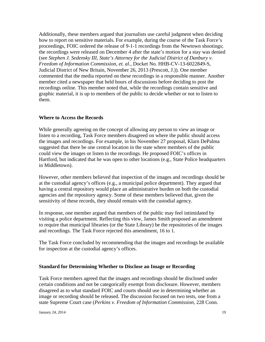Additionally, these members argued that journalists use careful judgment when deciding how to report on sensitive materials. For example, during the course of the Task Force's proceedings, FOIC ordered the release of 9-1-1 recordings from the Newtown shootings; the recordings were released on December 4 after the state's motion for a stay was denied (see *Stephen J. Sedensky III, State's Attorney for the Judicial District of Danbury v. Freedom of Information Commission*, *et. al*., Docket No. HHB-CV-13-6022849-S, Judicial District of New Britain, November 26, 2013 (Prescott, J.)). One member commented that the media reported on these recordings in a responsible manner. Another member cited a newspaper that held hours of discussions before deciding to post the recordings online. This member noted that, while the recordings contain sensitive and graphic material, it is up to members of the public to decide whether or not to listen to them.

### **Where to Access the Records**

While generally agreeing on the concept of allowing any person to view an image or listen to a recording, Task Force members disagreed on where the public should access the images and recordings. For example, in his November 27 proposal, Klarn DePalma suggested that there be one central location in the state where members of the public could view the images or listen to the recordings. He proposed FOIC's offices in Hartford, but indicated that he was open to other locations (e.g., State Police headquarters in Middletown).

However, other members believed that inspection of the images and recordings should be at the custodial agency's offices (e.g., a municipal police department). They argued that having a central repository would place an administrative burden on both the custodial agencies and the repository agency. Some of these members believed that, given the sensitivity of these records, they should remain with the custodial agency.

In response, one member argued that members of the public may feel intimidated by visiting a police department. Reflecting this view, James Smith proposed an amendment to require that municipal libraries (or the State Library) be the repositories of the images and recordings. The Task Force rejected this amendment, 16 to 1.

The Task Force concluded by recommending that the images and recordings be available for inspection at the custodial agency's offices.

## **Standard for Determining Whether to Disclose an Image or Recording**

Task Force members agreed that the images and recordings should be disclosed under certain conditions and not be categorically exempt from disclosure. However, members disagreed as to what standard FOIC and courts should use in determining whether an image or recording should be released. The discussion focused on two tests, one from a state Supreme Court case (*Perkins v. Freedom of Information Commission,* 228 Conn.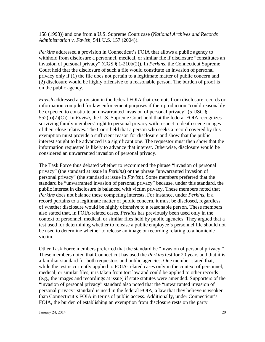158 (1993)) and one from a U.S. Supreme Court case (*National Archives and Records Administration v. Favish,* 541 U.S. 157 (2004)).

*Perkins* addressed a provision in Connecticut's FOIA that allows a public agency to withhold from disclosure a personnel, medical, or similar file if disclosure "constitutes an invasion of personal privacy" (CGS § 1-210b(2)). In *Perkins*, the Connecticut Supreme Court held that the disclosure of such a file would constitute an invasion of personal privacy only if (1) the file does not pertain to a legitimate matter of public concern and (2) disclosure would be highly offensive to a reasonable person. The burden of proof is on the public agency.

*Favish* addressed a provision in the federal FOIA that exempts from disclosure records or information compiled for law enforcement purposes if their production "could reasonably be expected to constitute an unwarranted invasion of personal privacy" (5 USC § 552(b)(7)(C)). In *Favish*, the U.S. Supreme Court held that the federal FOIA recognizes surviving family members' right to personal privacy with respect to death scene images of their close relatives. The Court held that a person who seeks a record covered by this exemption must provide a sufficient reason for disclosure and show that the public interest sought to be advanced is a significant one. The requestor must then show that the information requested is likely to advance that interest. Otherwise, disclosure would be considered an unwarranted invasion of personal privacy.

The Task Force thus debated whether to recommend the phrase "invasion of personal privacy" (the standard at issue in *Perkins*) or the phrase "unwarranted invasion of personal privacy" (the standard at issue in *Favish*). Some members preferred that the standard be "unwarranted invasion of personal privacy" because, under this standard, the public interest in disclosure is balanced with victim privacy. These members noted that *Perkins* does not balance these competing interests. For instance, under *Perkins*, if a record pertains to a legitimate matter of public concern, it must be disclosed, regardless of whether disclosure would be highly offensive to a reasonable person. These members also stated that, in FOIA-related cases, *Perkins* has previously been used only in the context of personnel, medical, or similar files held by public agencies. They argued that a test used for determining whether to release a public employee's personnel file should not be used to determine whether to release an image or recording relating to a homicide victim.

Other Task Force members preferred that the standard be "invasion of personal privacy." These members noted that Connecticut has used the *Perkins* test for 20 years and that it is a familiar standard for both requestors and public agencies. One member stated that, while the test is currently applied to FOIA-related cases only in the context of personnel, medical, or similar files, it is taken from tort law and could be applied to other records (e.g., the images and recordings at issue) if state statutes were amended. Supporters of the "invasion of personal privacy" standard also noted that the "unwarranted invasion of personal privacy" standard is used in the federal FOIA, a law that they believe is weaker than Connecticut's FOIA in terms of public access. Additionally, under Connecticut's FOIA, the burden of establishing an exemption from disclosure rests on the party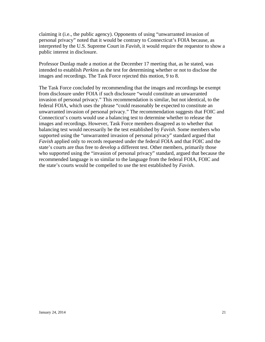claiming it (i.e., the public agency). Opponents of using "unwarranted invasion of personal privacy" noted that it would be contrary to Connecticut's FOIA because, as interpreted by the U.S. Supreme Court in *Favish*, it would require the requestor to show a public interest in disclosure.

Professor Dunlap made a motion at the December 17 meeting that, as he stated, was intended to establish *Perkins* as the test for determining whether or not to disclose the images and recordings. The Task Force rejected this motion, 9 to 8.

The Task Force concluded by recommending that the images and recordings be exempt from disclosure under FOIA if such disclosure "would constitute an unwarranted invasion of personal privacy." This recommendation is similar, but not identical, to the federal FOIA, which uses the phrase "could reasonably be expected to constitute an unwarranted invasion of personal privacy." The recommendation suggests that FOIC and Connecticut's courts would use a balancing test to determine whether to release the images and recordings. However, Task Force members disagreed as to whether that balancing test would necessarily be the test established by *Favish*. Some members who supported using the "unwarranted invasion of personal privacy" standard argued that *Favish* applied only to records requested under the federal FOIA and that FOIC and the state's courts are thus free to develop a different test. Other members, primarily those who supported using the "invasion of personal privacy" standard, argued that because the recommended language is so similar to the language from the federal FOIA, FOIC and the state's courts would be compelled to use the test established by *Favish*.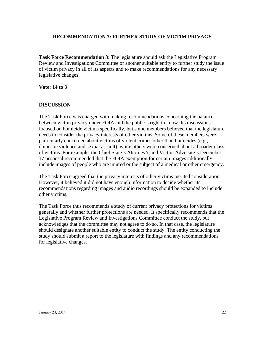## **RECOMMENDATION 3: FURTHER STUDY OF VICTIM PRIVACY**

**Task Force Recommendation 3:** The legislature should ask the Legislative Program Review and Investigations Committee or another suitable entity to further study the issue of victim privacy in all of its aspects and to make recommendations for any necessary legislative changes.

**Vote: 14 to 3**

### **DISCUSSION**

The Task Force was charged with making recommendations concerning the balance between victim privacy under FOIA and the public's right to know. Its discussions focused on homicide victims specifically, but some members believed that the legislature needs to consider the privacy interests of other victims. Some of these members were particularly concerned about victims of violent crimes other than homicides (e.g., domestic violence and sexual assault), while others were concerned about a broader class of victims. For example, the Chief State's Attorney's and Victim Advocate's December 17 proposal recommended that the FOIA exemption for certain images additionally include images of people who are injured or the subject of a medical or other emergency.

The Task Force agreed that the privacy interests of other victims merited consideration. However, it believed it did not have enough information to decide whether its recommendations regarding images and audio recordings should be expanded to include other victims.

The Task Force thus recommends a study of current privacy protections for victims generally and whether further protections are needed. It specifically recommends that the Legislative Program Review and Investigations Committee conduct the study, but acknowledges that the committee may not agree to do so. In that case, the legislature should designate another suitable entity to conduct the study. The entity conducting the study should submit a report to the legislature with findings and any recommendations for legislative changes.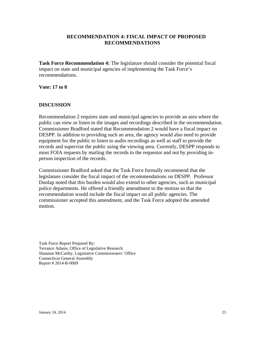## **RECOMMENDATION 4: FISCAL IMPACT OF PROPOSED RECOMMENDATIONS**

**Task Force Recommendation 4:** The legislature should consider the potential fiscal impact on state and municipal agencies of implementing the Task Force's recommendations.

**Vote: 17 to 0**

## **DISCUSSION**

Recommendation 2 requires state and municipal agencies to provide an area where the public can view or listen to the images and recordings described in the recommendation. Commissioner Bradford stated that Recommendation 2 would have a fiscal impact on DESPP. In addition to providing such an area, the agency would also need to provide equipment for the public to listen to audio recordings as well as staff to provide the records and supervise the public using the viewing area. Currently, DESPP responds to most FOIA requests by mailing the records to the requestor and not by providing inperson inspection of the records.

Commissioner Bradford asked that the Task Force formally recommend that the legislature consider the fiscal impact of the recommendations on DESPP. Professor Dunlap noted that this burden would also extend to other agencies, such as municipal police departments. He offered a friendly amendment to the motion so that the recommendation would include the fiscal impact on all public agencies. The commissioner accepted this amendment, and the Task Force adopted the amended motion.

Task Force Report Prepared By: Terrance Adams, Office of Legislative Research Shannon McCarthy, Legislative Commissioners' Office Connecticut General Assembly Report # 2014-R-0009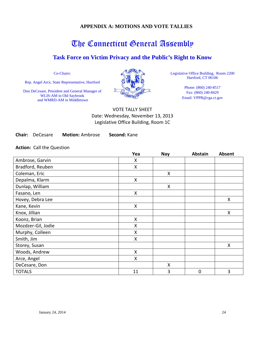## **APPENDIX A: MOTIONS AND VOTE TALLIES**

## The Connecticut General Assembly

## **Task Force on Victim Privacy and the Public's Right to Know**

Co-Chairs:

Rep. Angel Arce, State Representative, Hartford

Don DeCesare, President and General Manager of WLIS-AM in Old Saybrook and WMRD-AM in Middletown



Legislative Office Building, Room 2200 Hartford, CT 06106

> Phone: (860) 240-8517 Fax: (860) 240-8429 Email: VPPR@cga.ct.gov

VOTE TALLY SHEET Date: Wednesday, November 13, 2013 Legislative Office Building, Room 1C

**Chair:** DeCesare **Motion:** Ambrose **Second:** Kane

**Action:** Call the Question

|                    | Yea | <b>Nay</b>         | Abstain     | Absent |
|--------------------|-----|--------------------|-------------|--------|
| Ambrose, Garvin    | Χ   |                    |             |        |
| Bradford, Reuben   | Χ   |                    |             |        |
| Coleman, Eric      |     | $\pmb{\mathsf{X}}$ |             |        |
| Depalma, Klarm     | Χ   |                    |             |        |
| Dunlap, William    |     | Χ                  |             |        |
| Fasano, Len        | X   |                    |             |        |
| Hovey, Debra Lee   |     |                    |             | X      |
| Kane, Kevin        | Χ   |                    |             |        |
| Knox, Jillian      |     |                    |             | X      |
| Koonz, Brian       | X   |                    |             |        |
| Mozdzer-Gil, Jodie | Χ   |                    |             |        |
| Murphy, Colleen    | Χ   |                    |             |        |
| Smith, Jim         | Χ   |                    |             |        |
| Storey, Susan      |     |                    |             | X      |
| Woods, Andrew      | X   |                    |             |        |
| Arce, Angel        | X   |                    |             |        |
| DeCesare, Don      |     | Χ                  |             |        |
| <b>TOTALS</b>      | 11  | 3                  | $\mathbf 0$ | 3      |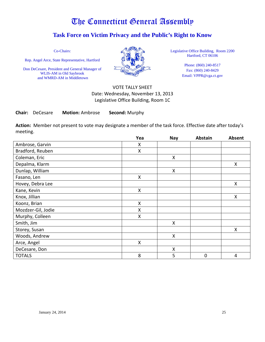## **Task Force on Victim Privacy and the Public's Right to Know**

Co-Chairs:

Rep. Angel Arce, State Representative, Hartford

Don DeCesare, President and General Manager of WLIS-AM in Old Saybrook and WMRD-AM in Middletown



Legislative Office Building, Room 2200 Hartford, CT 06106

> Phone: (860) 240-8517 Fax: (860) 240-8429 Email: VPPR@cga.ct.gov

## VOTE TALLY SHEET Date: Wednesday, November 13, 2013 Legislative Office Building, Room 1C

**Chair:** DeCesare **Motion:** Ambrose **Second:** Murphy

**Action:** Member not present to vote may designate a member of the task force. Effective date after today's meeting.

|                    | Yea | <b>Nay</b>         | <b>Abstain</b> | Absent |
|--------------------|-----|--------------------|----------------|--------|
| Ambrose, Garvin    | X   |                    |                |        |
| Bradford, Reuben   | Χ   |                    |                |        |
| Coleman, Eric      |     | $\pmb{\mathsf{X}}$ |                |        |
| Depalma, Klarm     |     |                    |                | X      |
| Dunlap, William    |     | X                  |                |        |
| Fasano, Len        | Χ   |                    |                |        |
| Hovey, Debra Lee   |     |                    |                | X      |
| Kane, Kevin        | X   |                    |                |        |
| Knox, Jillian      |     |                    |                | X      |
| Koonz, Brian       | X   |                    |                |        |
| Mozdzer-Gil, Jodie | Χ   |                    |                |        |
| Murphy, Colleen    | X   |                    |                |        |
| Smith, Jim         |     | X                  |                |        |
| Storey, Susan      |     |                    |                | X      |
| Woods, Andrew      |     | X                  |                |        |
| Arce, Angel        | X   |                    |                |        |
| DeCesare, Don      |     | $\mathsf{X}$       |                |        |
| <b>TOTALS</b>      | 8   | 5                  | $\overline{0}$ | 4      |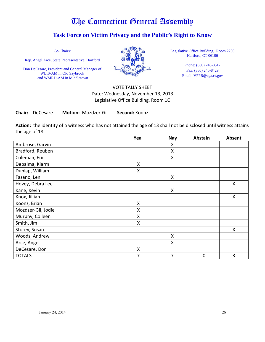## **Task Force on Victim Privacy and the Public's Right to Know**

Co-Chairs:

Rep. Angel Arce, State Representative, Hartford

Don DeCesare, President and General Manager of WLIS-AM in Old Saybrook and WMRD-AM in Middletown



Legislative Office Building, Room 2200 Hartford, CT 06106

> Phone: (860) 240-8517 Fax: (860) 240-8429 Email: VPPR@cga.ct.gov

## VOTE TALLY SHEET Date: Wednesday, November 13, 2013 Legislative Office Building, Room 1C

**Chair:** DeCesare **Motion:** Mozdzer-Gil **Second:** Koonz

**Action:** the identity of a witness who has not attained the age of 13 shall not be disclosed until witness attains the age of 18

|                    | Yea                | <b>Nay</b>         | <b>Abstain</b> | <b>Absent</b> |
|--------------------|--------------------|--------------------|----------------|---------------|
| Ambrose, Garvin    |                    | X                  |                |               |
| Bradford, Reuben   |                    | X                  |                |               |
| Coleman, Eric      |                    | X                  |                |               |
| Depalma, Klarm     | X                  |                    |                |               |
| Dunlap, William    | X                  |                    |                |               |
| Fasano, Len        |                    | $\sf X$            |                |               |
| Hovey, Debra Lee   |                    |                    |                | Χ             |
| Kane, Kevin        |                    | $\pmb{\mathsf{X}}$ |                |               |
| Knox, Jillian      |                    |                    |                | Χ             |
| Koonz, Brian       | X                  |                    |                |               |
| Mozdzer-Gil, Jodie | X                  |                    |                |               |
| Murphy, Colleen    | X                  |                    |                |               |
| Smith, Jim         | $\pmb{\mathsf{X}}$ |                    |                |               |
| Storey, Susan      |                    |                    |                | Χ             |
| Woods, Andrew      |                    | X                  |                |               |
| Arce, Angel        |                    | X                  |                |               |
| DeCesare, Don      | X                  |                    |                |               |
| <b>TOTALS</b>      | 7                  | 7                  | $\mathbf 0$    | 3             |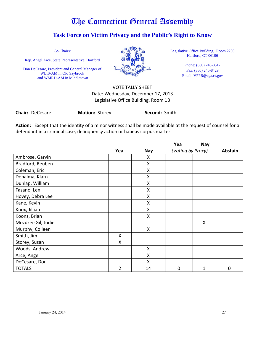## **Task Force on Victim Privacy and the Public's Right to Know**

Co-Chairs:

Rep. Angel Arce, State Representative, Hartford

Don DeCesare, President and General Manager of WLIS-AM in Old Saybrook and WMRD-AM in Middletown



Legislative Office Building, Room 2200 Hartford, CT 06106

> Phone: (860) 240-8517 Fax: (860) 240-8429 Email: VPPR@cga.ct.gov

## VOTE TALLY SHEET Date: Wednesday, December 17, 2013 Legislative Office Building, Room 1B

**Chair:** DeCesare **Motion:** Storey **Second:** Smith

**Action:** Except that the identity of a minor witness shall be made available at the request of counsel for a defendant in a criminal case, delinquency action or habeas corpus matter.

|                    |     |            | Yea               | <b>Nay</b> |                |
|--------------------|-----|------------|-------------------|------------|----------------|
|                    | Yea | <b>Nay</b> | (Voting by Proxy) |            | <b>Abstain</b> |
| Ambrose, Garvin    |     | X          |                   |            |                |
| Bradford, Reuben   |     | X          |                   |            |                |
| Coleman, Eric      |     | X          |                   |            |                |
| Depalma, Klarn     |     | X          |                   |            |                |
| Dunlap, William    |     | X          |                   |            |                |
| Fasano, Len        |     | X          |                   |            |                |
| Hovey, Debra Lee   |     | X          |                   |            |                |
| Kane, Kevin        |     | X          |                   |            |                |
| Knox, Jillian      |     | X          |                   |            |                |
| Koonz, Brian       |     | X          |                   |            |                |
| Mozdzer-Gil, Jodie |     |            |                   | X          |                |
| Murphy, Colleen    |     | X          |                   |            |                |
| Smith, Jim         | X   |            |                   |            |                |
| Storey, Susan      | X   |            |                   |            |                |
| Woods, Andrew      |     | X          |                   |            |                |
| Arce, Angel        |     | X          |                   |            |                |
| DeCesare, Don      |     | X          |                   |            |                |
| <b>TOTALS</b>      | 2   | 14         | $\overline{0}$    | 1          | 0              |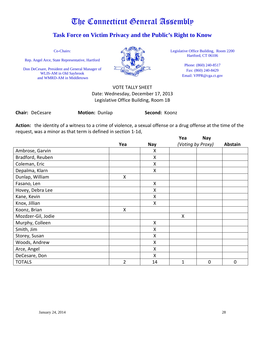## **Task Force on Victim Privacy and the Public's Right to Know**

Co-Chairs:

Rep. Angel Arce, State Representative, Hartford

Don DeCesare, President and General Manager of WLIS-AM in Old Saybrook and WMRD-AM in Middletown



Legislative Office Building, Room 2200 Hartford, CT 06106

> Phone: (860) 240-8517 Fax: (860) 240-8429 Email: VPPR@cga.ct.gov

## VOTE TALLY SHEET Date: Wednesday, December 17, 2013 Legislative Office Building, Room 1B

**Chair:** DeCesare **Motion:** Dunlap **Second:** Koonz

**Action:** the identity of a witness to a crime of violence, a sexual offense or a drug offense at the time of the request, was a minor as that term is defined in section 1-1d,

|                    |                |              | Yea               | <b>Nay</b>     |         |
|--------------------|----------------|--------------|-------------------|----------------|---------|
|                    | Yea            | <b>Nay</b>   | (Voting by Proxy) |                | Abstain |
| Ambrose, Garvin    |                | X            |                   |                |         |
| Bradford, Reuben   |                | X            |                   |                |         |
| Coleman, Eric      |                | $\mathsf{x}$ |                   |                |         |
| Depalma, Klarn     |                | X            |                   |                |         |
| Dunlap, William    | Χ              |              |                   |                |         |
| Fasano, Len        |                | X            |                   |                |         |
| Hovey, Debra Lee   |                | Χ            |                   |                |         |
| Kane, Kevin        |                | X            |                   |                |         |
| Knox, Jillian      |                | X            |                   |                |         |
| Koonz, Brian       | X              |              |                   |                |         |
| Mozdzer-Gil, Jodie |                |              | X                 |                |         |
| Murphy, Colleen    |                | X            |                   |                |         |
| Smith, Jim         |                | X            |                   |                |         |
| Storey, Susan      |                | X            |                   |                |         |
| Woods, Andrew      |                | X            |                   |                |         |
| Arce, Angel        |                | Χ            |                   |                |         |
| DeCesare, Don      |                | X            |                   |                |         |
| <b>TOTALS</b>      | $\overline{2}$ | 14           | 1                 | $\overline{0}$ | 0       |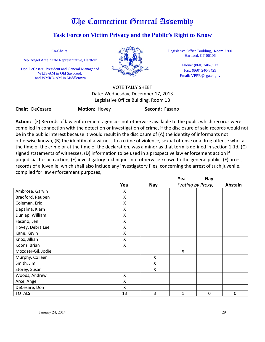## **Task Force on Victim Privacy and the Public's Right to Know**

Co-Chairs:

Rep. Angel Arce, State Representative, Hartford

Don DeCesare, President and General Manager of WLIS-AM in Old Saybrook and WMRD-AM in Middletown



Legislative Office Building, Room 2200 Hartford, CT 06106

> Phone: (860) 240-8517 Fax: (860) 240-8429 Email: VPPR@cga.ct.gov

VOTE TALLY SHEET Date: Wednesday, December 17, 2013 Legislative Office Building, Room 1B

**Chair:** DeCesare **Motion:** Hovey **Second:** Fasano

**Action:** (3) Records of law enforcement agencies not otherwise available to the public which records were compiled in connection with the detection or investigation of crime, if the disclosure of said records would not be in the public interest because it would result in the disclosure of (A) the identity of informants not otherwise known, (B) the identity of a witness to a crime of violence, sexual offense or a drug offense who, at the time of the crime or at the time of the declaration, was a minor as that term is defined in section 1-1d, (C) signed statements of witnesses, (D) information to be used in a prospective law enforcement action if prejudicial to such action, (E) investigatory techniques not otherwise known to the general public, (F) arrest records of a juvenile, which shall also include any investigatory files, concerning the arrest of such juvenile, compiled for law enforcement purposes,

|                    |     |            | Yea               | Nay |         |
|--------------------|-----|------------|-------------------|-----|---------|
|                    | Yea | <b>Nay</b> | (Voting by Proxy) |     | Abstain |
| Ambrose, Garvin    | Χ   |            |                   |     |         |
| Bradford, Reuben   | X   |            |                   |     |         |
| Coleman, Eric      | Χ   |            |                   |     |         |
| Depalma, Klarn     | X   |            |                   |     |         |
| Dunlap, William    | Χ   |            |                   |     |         |
| Fasano, Len        | Χ   |            |                   |     |         |
| Hovey, Debra Lee   | X   |            |                   |     |         |
| Kane, Kevin        | X   |            |                   |     |         |
| Knox, Jillian      | Χ   |            |                   |     |         |
| Koonz, Brian       | Χ   |            |                   |     |         |
| Mozdzer-Gil, Jodie |     |            | X                 |     |         |
| Murphy, Colleen    |     | X          |                   |     |         |
| Smith, Jim         |     | X          |                   |     |         |
| Storey, Susan      |     | X          |                   |     |         |
| Woods, Andrew      | X   |            |                   |     |         |
| Arce, Angel        | Χ   |            |                   |     |         |
| DeCesare, Don      | Χ   |            |                   |     |         |
| <b>TOTALS</b>      | 13  | 3          | 1                 | 0   | 0       |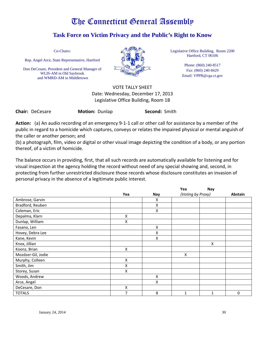## **Task Force on Victim Privacy and the Public's Right to Know**

Co-Chairs:

Rep. Angel Arce, State Representative, Hartford

Don DeCesare, President and General Manager of WLIS-AM in Old Saybrook and WMRD-AM in Middletown



Legislative Office Building, Room 2200 Hartford, CT 06106

> Phone: (860) 240-8517 Fax: (860) 240-8429 Email: VPPR@cga.ct.gov

VOTE TALLY SHEET Date: Wednesday, December 17, 2013 Legislative Office Building, Room 1B

**Chair:** DeCesare **Motion:** Dunlap **Second:** Smith

**Action:** (a) An audio recording of an emergency 9-1-1 call or other call for assistance by a member of the public in regard to a homicide which captures, conveys or relates the impaired physical or mental anguish of the caller or another person; and

(b) a photograph, film, video or digital or other visual image depicting the condition of a body, or any portion thereof, of a victim of homicide.

The balance occurs in providing, first, that all such records are automatically available for listening and for visual inspection at the agency holding the record without need of any special showing and, second, in protecting from further unrestricted disclosure those records whose disclosure constitutes an invasion of personal privacy in the absence of a legitimate public interest.

|                    |                    |     | Yea               | Nay |          |
|--------------------|--------------------|-----|-------------------|-----|----------|
|                    | Yea                | Nay | (Voting by Proxy) |     | Abstain  |
| Ambrose, Garvin    |                    | x   |                   |     |          |
| Bradford, Reuben   |                    | X   |                   |     |          |
| Coleman, Eric      |                    | X   |                   |     |          |
| Depalma, Klarn     | X                  |     |                   |     |          |
| Dunlap, William    | Χ                  |     |                   |     |          |
| Fasano, Len        |                    | X   |                   |     |          |
| Hovey, Debra Lee   |                    | Χ   |                   |     |          |
| Kane, Kevin        |                    | X   |                   |     |          |
| Knox, Jillian      |                    |     |                   | X   |          |
| Koonz, Brian       | X                  |     |                   |     |          |
| Mozdzer-Gil, Jodie |                    |     | X                 |     |          |
| Murphy, Colleen    | $\pmb{\mathsf{X}}$ |     |                   |     |          |
| Smith, Jim         | Χ                  |     |                   |     |          |
| Storey, Susan      | Χ                  |     |                   |     |          |
| Woods, Andrew      |                    | X   |                   |     |          |
| Arce, Angel        |                    | X   |                   |     |          |
| DeCesare, Don      | Χ                  |     |                   |     |          |
| <b>TOTALS</b>      | 7                  | 8   | 1                 | 1   | $\Omega$ |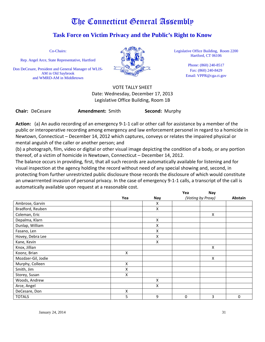## **Task Force on Victim Privacy and the Public's Right to Know**

Co-Chairs:

Rep. Angel Arce, State Representative, Hartford

Don DeCesare, President and General Manager of WLIS-AM in Old Saybrook and WMRD-AM in Middletown



Legislative Office Building, Room 2200 Hartford, CT 06106

> Phone: (860) 240-8517 Fax: (860) 240-8429 Email: VPPR@cga.ct.gov

VOTE TALLY SHEET Date: Wednesday, December 17, 2013 Legislative Office Building, Room 1B

**Chair:** DeCesare **Amendment:** Smith **Second:** Murphy

**Action:** (a) An audio recording of an emergency 9-1-1 call or other call for assistance by a member of the public or interoperative recording among emergency and law enforcement personel in regard to a homicide in Newtown, Connecticut – December 14, 2012 which captures, conveys or relates the impaired physical or mental anguish of the caller or another person; and

(b) a photograph, film, video or digital or other visual image depicting the condition of a body, or any portion thereof, of a victim of homicide in Newtown, Connecticut – December 14, 2012.

The balance occurs in providing, first, that all such records are automatically available for listening and for visual inspection at the agency holding the record without need of any special showing and, second, in protecting from further unrestricted public disclosure those records the disclosure of which would constitute an unwarrrented invasion of personal privacy. In the case of emergency 9-1-1 calls, a transcript of the call is automatically available upon request at a reasonable cost.

|                    |     |     | Yea               | Nay |             |
|--------------------|-----|-----|-------------------|-----|-------------|
|                    | Yea | Nay | (Voting by Proxy) |     | Abstain     |
| Ambrose, Garvin    |     | X   |                   |     |             |
| Bradford, Reuben   |     | X   |                   |     |             |
| Coleman, Eric      |     |     |                   | X   |             |
| Depalma, Klarn     |     | X   |                   |     |             |
| Dunlap, William    |     | X   |                   |     |             |
| Fasano, Len        |     | X   |                   |     |             |
| Hovey, Debra Lee   |     | x   |                   |     |             |
| Kane, Kevin        |     | X   |                   |     |             |
| Knox, Jillian      |     |     |                   | Χ   |             |
| Koonz, Brian       | X   |     |                   |     |             |
| Mozdzer-Gil, Jodie |     |     |                   | X   |             |
| Murphy, Colleen    | X   |     |                   |     |             |
| Smith, Jim         | Χ   |     |                   |     |             |
| Storey, Susan      | X   |     |                   |     |             |
| Woods, Andrew      |     | X   |                   |     |             |
| Arce, Angel        |     | X   |                   |     |             |
| DeCesare, Don      | Χ   |     |                   |     |             |
| <b>TOTALS</b>      | 5   | 9   | $\mathbf 0$       | 3   | $\mathbf 0$ |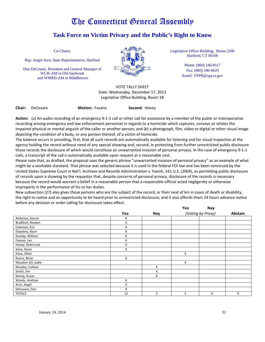## **Task Force on Victim Privacy and the Public's Right to Know**

Co-Chairs:

Rep. Angel Arce, State Representative, Hartford

Don DeCesare, President and General Manager of WLIS-AM in Old Saybrook and WMRD-AM in Middletown



VOTE TALLY SHEET Date: Wednesday, December 17, 2013 Legislative Office Building, Room 1B

**Chair:** DeCesare **Motion:** Fasano **Second:** Hovey

Legislative Office Building, Room 2200 Hartford, CT 06106

> Phone: (860) 240-8517 Fax: (860) 240-8429 Email: VPPR@cga.ct.gov

**Action:** (a) An audio recording of an emergency 9-1-1 call or other call for assistance by a member of the public or interoperative recording among emergency and law enforcement personnel in regards to a homicide which captures, conveys or relates the impaired physical or mental anguish of the caller or another person; and (b) a photograph, film, video or digital or other visual image depicting the condition of a body, or any portion thereof, of a victim of homicide.

The balance occurs in providing, first, that all such records are automatically available for listening and for visual inspection at the agency holding the record without need of any special showing and, second, in protecting from further unrestricted public disclosure those records the disclosure of which would constitute an unwarranted invasion of personal privacy. In the case of emergency 9-1-1 calls, a transcript of the call is automatically available upon request at a reasonable cost.

Please note that, as drafted, the proposal uses the generic phrase "unwarranted invasion of personal privacy" as an example of what might be a workable standard. That phrase was selected because it is used in the federal FOI law and has been construed by the United States Supreme Court in Nat'l. Archives and Records Administration v. Favish, 541 U.S. (2004), as permitting public disclosure of records upon a showing by the requestor that, despite concerns of personal privacy, disclosure of the records is necessary because the record would warrant a belief in a reasonable person that a responsible official acted negligently or otherwise improperly in the performance of his or her duties.

New subsection (27) also gives those persons who are the subject of the record, or their next of kin in cases of death or disability, the right to notice and an opportunity to be heard prior to unrestricted disclosure, and it also affords them 24 hours advance notice before any decision or order calling for disclosure takes effect.

|                    |     |     | Yea            | Nay               |             |
|--------------------|-----|-----|----------------|-------------------|-------------|
|                    | Yea | Nay |                | (Voting by Proxy) | Abstain     |
| Ambrose, Garvin    | X   |     |                |                   |             |
| Bradford, Reuben   | Χ   |     |                |                   |             |
| Coleman, Eric      | X   |     |                |                   |             |
| Depalma, Klarn     | Χ   |     |                |                   |             |
| Dunlap, William    | X   |     |                |                   |             |
| Fasano, Len        | X   |     |                |                   |             |
| Hovey, Debra Lee   | X   |     |                |                   |             |
| Kane, Kevin        | X   |     |                |                   |             |
| Knox, Jillian      |     |     | X              |                   |             |
| Koonz, Brian       | X   |     |                |                   |             |
| Mozdzer-Gil, Jodie |     |     | X              |                   |             |
| Murphy, Colleen    |     | X   |                |                   |             |
| Smith, Jim         |     | X   |                |                   |             |
| Storey, Susan      |     | X   |                |                   |             |
| Woods, Andrew      | X   |     |                |                   |             |
| Arce, Angel        | X   |     |                |                   |             |
| DeCesare, Don      | X   |     |                |                   |             |
| <b>TOTALS</b>      | 12  | 3   | $\overline{2}$ | $\mathbf 0$       | $\mathbf 0$ |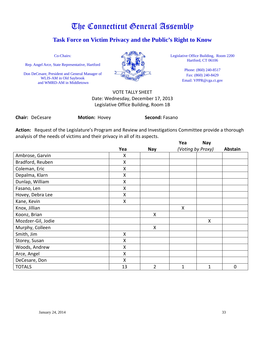## **Task Force on Victim Privacy and the Public's Right to Know**

Co-Chairs:

Rep. Angel Arce, State Representative, Hartford

Don DeCesare, President and General Manager of WLIS-AM in Old Saybrook and WMRD-AM in Middletown



Legislative Office Building, Room 2200 Hartford, CT 06106

> Phone: (860) 240-8517 Fax: (860) 240-8429 Email: VPPR@cga.ct.gov

## VOTE TALLY SHEET Date: Wednesday, December 17, 2013 Legislative Office Building, Room 1B

**Chair:** DeCesare **Motion:** Hovey **Second:** Fasano

**Action:** Request of the Legislature's Program and Review and Investigations Committee provide a thorough analysis of the needs of victims and their privacy in all of its aspects.

|                    |     |                | Yea               | <b>Nay</b>   |             |
|--------------------|-----|----------------|-------------------|--------------|-------------|
|                    | Yea | <b>Nay</b>     | (Voting by Proxy) |              | Abstain     |
| Ambrose, Garvin    | X   |                |                   |              |             |
| Bradford, Reuben   | X   |                |                   |              |             |
| Coleman, Eric      | X   |                |                   |              |             |
| Depalma, Klarn     | X   |                |                   |              |             |
| Dunlap, William    | Χ   |                |                   |              |             |
| Fasano, Len        | Χ   |                |                   |              |             |
| Hovey, Debra Lee   | Χ   |                |                   |              |             |
| Kane, Kevin        | Χ   |                |                   |              |             |
| Knox, Jillian      |     |                | X                 |              |             |
| Koonz, Brian       |     | X              |                   |              |             |
| Mozdzer-Gil, Jodie |     |                |                   | Χ            |             |
| Murphy, Colleen    |     | X              |                   |              |             |
| Smith, Jim         | Χ   |                |                   |              |             |
| Storey, Susan      | Χ   |                |                   |              |             |
| Woods, Andrew      | Χ   |                |                   |              |             |
| Arce, Angel        | Χ   |                |                   |              |             |
| DeCesare, Don      | X   |                |                   |              |             |
| <b>TOTALS</b>      | 13  | $\overline{2}$ | 1                 | $\mathbf{1}$ | $\mathbf 0$ |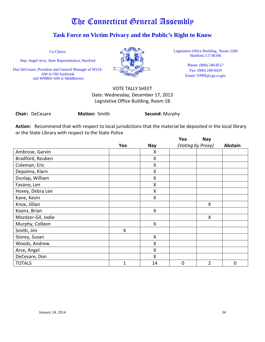## **Task Force on Victim Privacy and the Public's Right to Know**

Co-Chairs:

Rep. Angel Arce, State Representative, Hartford

Don DeCesare, President and General Manager of WLIS-AM in Old Saybrook and WMRD-AM in Middletown



Legislative Office Building, Room 2200 Hartford, CT 06106

> Phone: (860) 240-8517 Fax: (860) 240-8429 Email: VPPR@cga.ct.gov

## VOTE TALLY SHEET Date: Wednesday, December 17, 2013 Legislative Office Building, Room 1B

**Chair:** DeCesare **Motion:** Smith **Second:** Murphy

**Action:** Recommend that with respect to local jurisdictions that the material be deposited in the local library or the State Library with respect to the State Police

|                    |     |            | Yea               | <b>Nay</b>     |         |
|--------------------|-----|------------|-------------------|----------------|---------|
|                    | Yea | <b>Nay</b> | (Voting by Proxy) |                | Abstain |
| Ambrose, Garvin    |     | X          |                   |                |         |
| Bradford, Reuben   |     | Χ          |                   |                |         |
| Coleman, Eric      |     | X          |                   |                |         |
| Depalma, Klarn     |     | X          |                   |                |         |
| Dunlap, William    |     | X          |                   |                |         |
| Fasano, Len        |     | X          |                   |                |         |
| Hovey, Debra Lee   |     | Χ          |                   |                |         |
| Kane, Kevin        |     | X          |                   |                |         |
| Knox, Jillian      |     |            |                   | X              |         |
| Koonz, Brian       |     | X          |                   |                |         |
| Mozdzer-Gil, Jodie |     |            |                   | X              |         |
| Murphy, Colleen    |     | X          |                   |                |         |
| Smith, Jim         | Χ   |            |                   |                |         |
| Storey, Susan      |     | X          |                   |                |         |
| Woods, Andrew      |     | Χ          |                   |                |         |
| Arce, Angel        |     | Χ          |                   |                |         |
| DeCesare, Don      |     | X          |                   |                |         |
| <b>TOTALS</b>      | 1   | 14         | $\mathbf 0$       | $\overline{2}$ | 0       |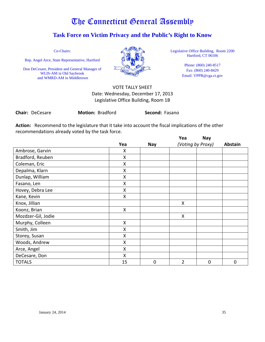## **Task Force on Victim Privacy and the Public's Right to Know**

Co-Chairs:

Rep. Angel Arce, State Representative, Hartford

Don DeCesare, President and General Manager of WLIS-AM in Old Saybrook and WMRD-AM in Middletown



Legislative Office Building, Room 2200 Hartford, CT 06106

> Phone: (860) 240-8517 Fax: (860) 240-8429 Email: VPPR@cga.ct.gov

## VOTE TALLY SHEET Date: Wednesday, December 17, 2013 Legislative Office Building, Room 1B

| <b>Chair: DeCesare</b> | <b>Motion: Bradford</b> | Second: Fasano |
|------------------------|-------------------------|----------------|
|------------------------|-------------------------|----------------|

**Action:** Recommend to the legislature that it take into account the fiscal implications of the other recommendations already voted by the task force.

|                    |     |            | Yea               | <b>Nay</b>     |         |
|--------------------|-----|------------|-------------------|----------------|---------|
|                    | Yea | <b>Nay</b> | (Voting by Proxy) |                | Abstain |
| Ambrose, Garvin    | x   |            |                   |                |         |
| Bradford, Reuben   | Χ   |            |                   |                |         |
| Coleman, Eric      | X   |            |                   |                |         |
| Depalma, Klarn     | Χ   |            |                   |                |         |
| Dunlap, William    | Χ   |            |                   |                |         |
| Fasano, Len        | Χ   |            |                   |                |         |
| Hovey, Debra Lee   | X   |            |                   |                |         |
| Kane, Kevin        | Χ   |            |                   |                |         |
| Knox, Jillian      |     |            | X                 |                |         |
| Koonz, Brian       | X   |            |                   |                |         |
| Mozdzer-Gil, Jodie |     |            | X                 |                |         |
| Murphy, Colleen    | X   |            |                   |                |         |
| Smith, Jim         | X   |            |                   |                |         |
| Storey, Susan      | Χ   |            |                   |                |         |
| Woods, Andrew      | Χ   |            |                   |                |         |
| Arce, Angel        | X   |            |                   |                |         |
| DeCesare, Don      | X   |            |                   |                |         |
| <b>TOTALS</b>      | 15  | 0          | 2                 | $\overline{0}$ | 0       |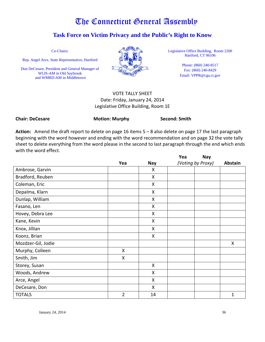## **Task Force on Victim Privacy and the Public's Right to Know**

Co-Chairs:

Rep. Angel Arce, State Representative, Hartford

Don DeCesare, President and General Manager of WLIS-AM in Old Saybrook and WMRD-AM in Middletown



Legislative Office Building, Room 2200 Hartford, CT 06106

> Phone: (860) 240-8517 Fax: (860) 240-8429 Email: VPPR@cga.ct.gov

## VOTE TALLY SHEET Date: Friday, January 24, 2014 Legislative Office Building, Room 1E

Chair: DeCesare **Motion: Murphy** Second: Smith

**Action:** Amend the draft report to delete on page 16 items 5 – 8 also delete on page 17 the last paragraph beginning with the word however and ending with the word recommendation and on page 32 the vote tally sheet to delete everything from the word please in the second to last paragraph through the end which ends with the word effect.

|                    |     |            | Yea               | <b>Nay</b> |                |
|--------------------|-----|------------|-------------------|------------|----------------|
|                    | Yea | <b>Nay</b> | (Voting by Proxy) |            | <b>Abstain</b> |
| Ambrose, Garvin    |     | X          |                   |            |                |
| Bradford, Reuben   |     | X          |                   |            |                |
| Coleman, Eric      |     | Χ          |                   |            |                |
| Depalma, Klarn     |     | Χ          |                   |            |                |
| Dunlap, William    |     | X          |                   |            |                |
| Fasano, Len        |     | X          |                   |            |                |
| Hovey, Debra Lee   |     | X          |                   |            |                |
| Kane, Kevin        |     | X          |                   |            |                |
| Knox, Jillian      |     | X          |                   |            |                |
| Koonz, Brian       |     | X          |                   |            |                |
| Mozdzer-Gil, Jodie |     |            |                   |            | X              |
| Murphy, Colleen    | X   |            |                   |            |                |
| Smith, Jim         | X   |            |                   |            |                |
| Storey, Susan      |     | X          |                   |            |                |
| Woods, Andrew      |     | Χ          |                   |            |                |
| Arce, Angel        |     | X          |                   |            |                |
| DeCesare, Don      |     | X          |                   |            |                |
| <b>TOTALS</b>      | 2   | 14         |                   |            | 1              |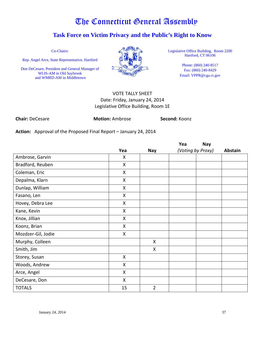## **Task Force on Victim Privacy and the Public's Right to Know**

Co-Chairs:

Rep. Angel Arce, State Representative, Hartford

Don DeCesare, President and General Manager of WLIS-AM in Old Saybrook and WMRD-AM in Middletown



Legislative Office Building, Room 2200 Hartford, CT 06106

> Phone: (860) 240-8517 Fax: (860) 240-8429 Email: VPPR@cga.ct.gov

## VOTE TALLY SHEET Date: Friday, January 24, 2014 Legislative Office Building, Room 1E

**Chair:** DeCesare **Motion:** Ambrose **Second:** Koonz

**Action:** Approval of the Proposed Final Report – January 24, 2014

|                    |              |                | Yea               | <b>Nay</b> |         |
|--------------------|--------------|----------------|-------------------|------------|---------|
|                    | Yea          | <b>Nay</b>     | (Voting by Proxy) |            | Abstain |
| Ambrose, Garvin    | X            |                |                   |            |         |
| Bradford, Reuben   | X            |                |                   |            |         |
| Coleman, Eric      | X            |                |                   |            |         |
| Depalma, Klarn     | X            |                |                   |            |         |
| Dunlap, William    | X            |                |                   |            |         |
| Fasano, Len        | X            |                |                   |            |         |
| Hovey, Debra Lee   | X            |                |                   |            |         |
| Kane, Kevin        | X            |                |                   |            |         |
| Knox, Jillian      | X            |                |                   |            |         |
| Koonz, Brian       | $\mathsf{X}$ |                |                   |            |         |
| Mozdzer-Gil, Jodie | X            |                |                   |            |         |
| Murphy, Colleen    |              | X              |                   |            |         |
| Smith, Jim         |              | X              |                   |            |         |
| Storey, Susan      | X            |                |                   |            |         |
| Woods, Andrew      | X            |                |                   |            |         |
| Arce, Angel        | X            |                |                   |            |         |
| DeCesare, Don      | X            |                |                   |            |         |
| <b>TOTALS</b>      | 15           | $\overline{2}$ |                   |            |         |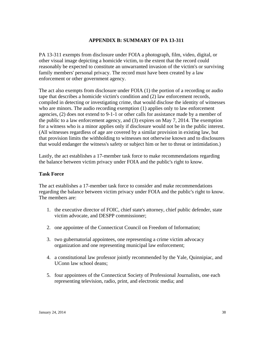## **APPENDIX B: SUMMARY OF PA 13-311**

PA 13-311 exempts from disclosure under FOIA a photograph, film, video, digital, or other visual image depicting a homicide victim, to the extent that the record could reasonably be expected to constitute an unwarranted invasion of the victim's or surviving family members' personal privacy. The record must have been created by a law enforcement or other government agency.

The act also exempts from disclosure under FOIA (1) the portion of a recording or audio tape that describes a homicide victim's condition and (2) law enforcement records, compiled in detecting or investigating crime, that would disclose the identity of witnesses who are minors. The audio recording exemption (1) applies only to law enforcement agencies, (2) does not extend to 9-1-1 or other calls for assistance made by a member of the public to a law enforcement agency, and (3) expires on May 7, 2014. The exemption for a witness who is a minor applies only if disclosure would not be in the public interest. (All witnesses regardless of age are covered by a similar provision in existing law, but that provision limits the withholding to witnesses not otherwise known and to disclosures that would endanger the witness's safety or subject him or her to threat or intimidation.)

Lastly, the act establishes a 17-member task force to make recommendations regarding the balance between victim privacy under FOIA and the public's right to know.

## **Task Force**

The act establishes a 17-member task force to consider and make recommendations regarding the balance between victim privacy under FOIA and the public's right to know. The members are:

- 1. the executive director of FOIC, chief state's attorney, chief public defender, state victim advocate, and DESPP commissioner;
- 2. one appointee of the Connecticut Council on Freedom of Information;
- 3. two gubernatorial appointees, one representing a crime victim advocacy organization and one representing municipal law enforcement;
- 4. a constitutional law professor jointly recommended by the Yale, Quinnipiac, and UConn law school deans;
- 5. four appointees of the Connecticut Society of Professional Journalists, one each representing television, radio, print, and electronic media; and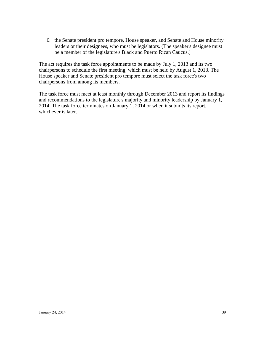6. the Senate president pro tempore, House speaker, and Senate and House minority leaders or their designees, who must be legislators. (The speaker's designee must be a member of the legislature's Black and Puerto Rican Caucus.)

The act requires the task force appointments to be made by July 1, 2013 and its two chairpersons to schedule the first meeting, which must be held by August 1, 2013. The House speaker and Senate president pro tempore must select the task force's two chairpersons from among its members.

The task force must meet at least monthly through December 2013 and report its findings and recommendations to the legislature's majority and minority leadership by January 1, 2014. The task force terminates on January 1, 2014 or when it submits its report, whichever is later.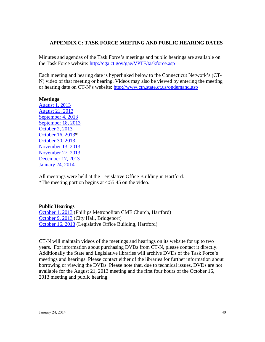### **APPENDIX C: TASK FORCE MEETING AND PUBLIC HEARING DATES**

Minutes and agendas of the Task Force's meetings and public hearings are available on the Task Force website:<http://cga.ct.gov/gae/VPTF/taskforce.asp>

Each meeting and hearing date is hyperlinked below to the Connecticut Network's (CT-N) video of that meeting or hearing. Videos may also be viewed by entering the meeting or hearing date on CT-N's website:<http://www.ctn.state.ct.us/ondemand.asp>

#### **Meetings**

[August 1, 2013](http://www.ctn.state.ct.us/ctnplayer.asp?odID=9269) [August 21, 2013](http://www.ctn.state.ct.us/ctnplayer.asp?odID=9330) [September 4, 2013](http://www.ctn.state.ct.us/ctnplayer.asp?odID=9372) [September 18, 2013](http://www.ctn.state.ct.us/ctnplayer.asp?odID=9421) [October 2, 2013](http://www.ctn.state.ct.us/ctnplayer.asp?odID=9472) [October 16, 2013\\*](http://www.ctn.state.ct.us/ctnplayer.asp?odID=9510) [October 30, 2013](http://www.ctn.state.ct.us/ctnplayer.asp?odID=9561) [November 13, 2013](http://www.ctn.state.ct.us/ctnplayer.asp?odID=9608) [November 27, 2013](http://www.ctn.state.ct.us/ctnplayer.asp?odID=9662) [December 17, 2013](http://www.ctn.state.ct.us/ctnplayer.asp?odID=9724) [January](http://ct-n.com/ctnplayer.asp?odID=9843) 24, 2014

All meetings were held at the Legislative Office Building in Hartford. \*The meeting portion begins at 4:55:45 on the video.

### **Public Hearings**

[October 1, 2013](http://www.ctn.state.ct.us/ctnplayer.asp?odID=9473) (Phillips Metropolitan CME Church, Hartford) [October 9, 2013](http://www.ctn.state.ct.us/ctnplayer.asp?odID=9495) (City Hall, Bridgeport) [October 16, 2013](http://www.ctn.state.ct.us/ctnplayer.asp?odID=9510) (Legislative Office Building, Hartford)

CT-N will maintain videos of the meetings and hearings on its website for up to two years. For information about purchasing DVDs from CT-N, please contact it directly. Additionally the State and Legislative libraries will archive DVDs of the Task Force's meetings and hearings. Please contact either of the libraries for further information about borrowing or viewing the DVDs. Please note that, due to technical issues, DVDs are not available for the August 21, 2013 meeting and the first four hours of the October 16, 2013 meeting and public hearing.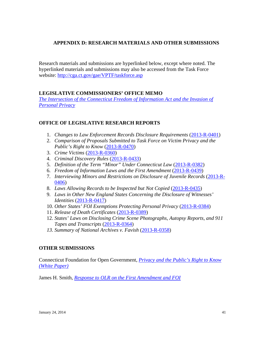## **APPENDIX D: RESEARCH MATERIALS AND OTHER SUBMISSIONS**

Research materials and submissions are hyperlinked below, except where noted. The hyperlinked materials and submissions may also be accessed from the Task Force website:<http://cga.ct.gov/gae/VPTF/taskforce.asp>

## **LEGISLATIVE COMMISSIONERS' OFFICE MEMO**

**The Intersection of the Connecticut Freedom of Information Act and the Invasion of** *[Personal Privacy](http://cga.ct.gov/gae/VPTF/docs/Memo%20re%20Intersection%20of%20the%20Connecticut%20Freedom%20of%20Information%20Act%20and%20t....pdf)*

## **OFFICE OF LEGISLATIVE RESEARCH REPORTS**

- 1. *Changes to Law Enforcement Records Disclosure Requirements* [\(2013-R-0401\)](http://www.cga.ct.gov/2013/rpt/pdf/2013-R-0401.pdf)
- 2. *Comparison of Proposals Submitted to Task Force on Victim Privacy and the Public's Right to Know* [\(2013-R-0470\)](http://www.cga.ct.gov/2013/rpt/pdf/2013-R-0470.pdf)
- 3. *Crime Victims* [\(2013-R-0360\)](http://www.cga.ct.gov/2013/rpt/pdf/2013-R-0360.pdf)
- 4. *Criminal Discovery Rules* [\(2013-R-0433\)](http://www.cga.ct.gov/2013/rpt/pdf/2013-R-0433.pdf)
- 5. *Definition of the Term "Minor" Under Connecticut Law* [\(2013-R-0382\)](http://www.cga.ct.gov/2013/rpt/pdf/2013-R-0382.pdf)
- 6. *Freedom of Information Laws and the First Amendment* [\(2013-R-0439\)](http://www.cga.ct.gov/2013/rpt/pdf/2013-R-0439.pdf)
- 7. *Interviewing Minors and Restrictions on Disclosure of Juvenile Records* [\(2013-R-](http://www.cga.ct.gov/2013/rpt/pdf/2013-R-0406.pdf)[0406\)](http://www.cga.ct.gov/2013/rpt/pdf/2013-R-0406.pdf)
- 8. *Laws Allowing Records to be Inspected but Not Copied* [\(2013-R-0435\)](http://www.cga.ct.gov/2013/rpt/pdf/2013-R-0435.pdf)
- 9. *Laws in Other New England States Concerning the Disclosure of Witnesses' Identities* [\(2013-R-0417\)](http://www.cga.ct.gov/2013/rpt/pdf/2013-R-0417.pdf)
- 10. *Other States' FOI Exemptions Protecting Personal Privacy* [\(2013-R-0384\)](http://www.cga.ct.gov/2013/rpt/pdf/2013-R-0384.pdf)
- 11. *Release of Death Certificates* [\(2013-R-0389\)](http://www.cga.ct.gov/2013/rpt/pdf/2013-R-0389+.pdf)
- 12. *States' Laws on Disclosing Crime Scene Photographs, Autopsy Reports, and 911 Tapes and Transcripts* [\(2013-R-0364\)](http://www.cga.ct.gov/2013/rpt/pdf/2013-R-0364.pdf)
- *13. Summary of National Archives v. Favish* [\(2013-R-0358\)](http://www.cga.ct.gov/2013/rpt/pdf/2013-R-0358.pdf)

## **OTHER SUBMISSIONS**

Connecticut Foundation for Open Government, *[Privacy and the Public's Right to Know](http://cga.ct.gov/gae/VPTF/docs/Connecticut%20Foundation%20for%20Open%20Government%20-%20White%20Paper%20-%20Privacy%20and%20the%20Public%27s%20Right%20to%20Know.pdf)  [\(White Paper\)](http://cga.ct.gov/gae/VPTF/docs/Connecticut%20Foundation%20for%20Open%20Government%20-%20White%20Paper%20-%20Privacy%20and%20the%20Public%27s%20Right%20to%20Know.pdf)*

James H. Smith, *[Response to OLR on the First Amendment and FOI](http://cga.ct.gov/gae/VPTF/docs/James%20H%20%20Smith%20-%20Response%20to%20OLR%20on%20the%20First%20Amendment%20and%20FOI.pdf)*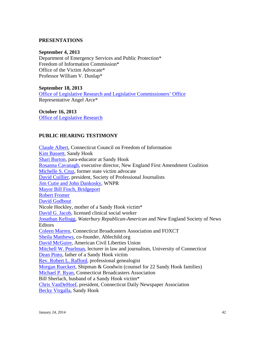### **PRESENTATIONS**

### **September 4, 2013**

Department of Emergency Services and Public Protection\* Freedom of Information Commission\* Office of the Victim Advocate\* Professor William V. Dunlap\*

#### **September 18, 2013**

[Office of Legislative Research and Legislative Commissioners' Office](http://cga.ct.gov/gae/VPTF/docs/FOIA%20Task%20Force%20Presentation%20FINAL.pdf) Representative Angel Arce\*

## **October 16, 2013**

[Office of Legislative Research](http://cga.ct.gov/gae/VPTF/docs/Office%20of%20Legislative%20Research%20-%20Presentation%20%2810-16-13%29.pdf)

## **PUBLIC HEARING TESTIMONY**

[Claude Albert,](http://cga.ct.gov/gae/VPTF/tmy/Testimony%20of%20Claude%20Albert,%20Connecticut%20Council%20on%20Freedom%20of%20Information%20%2810-16-13%29%20%282%29.pdf) Connecticut Council on Freedom of Information [Kim Bassett,](http://cga.ct.gov/gae/VPTF/tmy/Testimony%20of%20Kim%20Bassett%2010-9-2013.pdf) Sandy Hook [Shari Burton,](http://cga.ct.gov/gae/VPTF/tmy/Testimony%20of%20Shari%20Burton%2010-9-2013.pdf) para-educator at Sandy Hook [Rosanna Cavanagh,](http://cga.ct.gov/gae/VPTF/tmy/Testimony%20of%20Rosanna%20Cavanagh,%20New%20England%20First%20Amendment%20Coalition%20%2810-16-13%29.pdf) executive director, New England First Amendment Coalition [Michelle S. Cruz,](http://cga.ct.gov/gae/VPTF/tmy/Testimony%20of%20Michelle%20S.%20Cruz.pdf) former state victim advocate [David Cuillier,](http://cga.ct.gov/gae/VPTF/tmy/Testimony%20of%20David%20Cuillier,%20President%20,%20Society%20of%20Professional%20Journalists%2010-16-13.pdf) president, Society of Professional Journalists [Jim Cutie and John Dankosky,](http://cga.ct.gov/gae/VPTF/tmy/Testimony%20of%20John%20Dankosky%20&%20Jim%20Cutie,%20WNPR%20%2810-16-13%29.pdf) WNPR [Mayor Bill Finch, Bridgeport](http://cga.ct.gov/gae/VPTF/tmy/Testimony%20of%20Mayor%20Bill%20Finch,%20City%20of%20Bridgeport%2010-9-2013.pdf) [Robert Fromer](http://cga.ct.gov/gae/VPTF/tmy/Testimony%20of%20Robert%20Fromer,%20Windsor,%20CT.pdf) [David Godbout](http://cga.ct.gov/gae/VPTF/tmy/1%20OCT%2013%20Godbout%20Testimony%20TFVPPRK.pdf) Nicole Hockley, mother of a Sandy Hook victim\* [David G. Jacob,](http://cga.ct.gov/gae/VPTF/tmy/Testimony%20of%20David%20G.%20Jacob%20%2810-16-13%29.pdf) licensed clinical social worker [Jonathan Kellogg,](http://cga.ct.gov/gae/VPTF/tmy/Testimony%20of%20Jonathan%20Kellogg,%20Editor,%20Republican-American%20%2810-16-13%29.pdf) *Waterbury Republican-American* and New England Society of News **Editors** [Coleen Marren,](http://cga.ct.gov/gae/VPTF/tmy/Testimony%20of%20Coleen%20Marren,%20Director,%20FOXCT%20%2810-16-2013%29.pdf) Connecticut Broadcasters Association and FOXCT [Sheila Matthews,](http://cga.ct.gov/gae/VPTF/tmy/Testimony%20of%20Sheila%20Matthews,%20Co-Founder,%20AbleChild.org,%2010-9-2013%20.pdf) co-founder, Ablechild.org [David McGuire,](http://cga.ct.gov/gae/VPTF/tmy/Testimony%20of%20Attorney%20David%20McGuire,%20ACLU%20%2810-16-13%29.pdf) American Civil Liberties Union [Mitchell W. Pearlman,](http://cga.ct.gov/gae/VPTF/tmy/Testimony%20of%20Mitchell%20W.%20Pearlman,%20Lecturer%20in%20Law%20and%20Journalism,%20University%20of%20Connecticut.pdf) lecturer in law and journalism, University of Connecticut [Dean Pinto,](http://cga.ct.gov/gae/VPTF/tmy/Testimony%20of%20Dean%20Pinto,%20Newtown,%20CT%20%2810-9-13%29.pdf) father of a Sandy Hook victim [Rev. Robert L. Rafford,](http://cga.ct.gov/gae/VPTF/tmy/Testimony%20of%20Rev.%20Robert%20L.%20Rafford,%20Professional%20Genealogist%20%2810-16-2013%29.pdf) professional genealogist [Morgan Rueckert,](http://cga.ct.gov/gae/VPTF/tmy/Testimony%20of%20Attorney%20Morgan%20Rueckert,%20Shipman%20&%20Goodwin%20%2810-16-13%29.pdf) Shipman & Goodwin (counsel for 22 Sandy Hook families) [Michael P. Ryan,](http://cga.ct.gov/gae/VPTF/tmy/102813_Connecticut%20Broadcasters%20Association.pdf) Connecticut Broadcasters Association Bill Sherlach, husband of a Sandy Hook victim\* [Chris VanDeHoef,](http://cga.ct.gov/gae/VPTF/tmy/101613_Testimony%20of%20Chris%20VanDeHoef,%20Connecticut%20Daily%20Newspapers%20Assoc.pdf) president, Connecticut Daily Newspaper Association [Becky Virgalla,](http://cga.ct.gov/gae/VPTF/tmy/Testimony%20of%20Becky%20Virgalla%2010-9-2013.pdf) Sandy Hook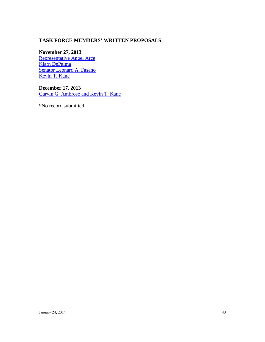## **TASK FORCE MEMBERS' WRITTEN PROPOSALS**

**November 27, 2013** [Representative Angel Arce](http://cga.ct.gov/gae/VPTF/docs/Rep.%20Angel%20Arce%20-%20Proposed%20Recommendations%20.pdf) [Klarn DePalma](http://cga.ct.gov/gae/VPTF/docs/Klarn%20Depalma,%20Vice%20President,%20WFSB%20-%20Proposed%20Recommendations.pdf) [Senator Leonard A. Fasano](http://cga.ct.gov/gae/VPTF/docs/Sen.%20Leonard%20Fasano%20-%20Proposed%20Recommendations.pdf) [Kevin T. Kane](http://cga.ct.gov/gae/VPTF/docs/Chief%20State%27s%20Attorney%20Kevin%20T.%20Kane%20-%20Proposed%20Recommendations.pdf)

**December 17, 2013** [Garvin G. Ambrose and Kevin T. Kane](http://cga.ct.gov/gae/VPTF/docs/rec.pdf)

\*No record submitted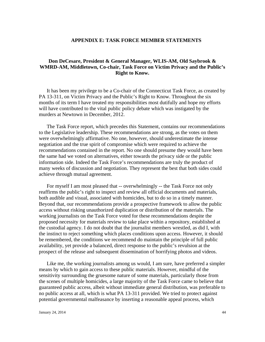### **APPENDIX E: TASK FORCE MEMBER STATEMENTS**

## **Don DeCesare, President & General Manager, WLIS-AM, Old Saybrook & WMRD-AM, Middletown, Co-chair, Task Force on Victim Privacy and the Public's Right to Know.**

It has been my privilege to be a Co-chair of the Connecticut Task Force, as created by PA 13-311, on Victim Privacy and the Public's Right to Know. Throughout the six months of its term I have treated my responsibilities most dutifully and hope my efforts will have contributed to the vital public policy debate which was instigated by the murders at Newtown in December, 2012.

The Task Force report, which precedes this Statement, contains our recommendations to the Legislative leadership. These recommendations are strong, as the votes on them were overwhelmingly affirmative. No one, however, should underestimate the intense negotiation and the true spirit of compromise which were required to achieve the recommendations contained in the report. No one should presume they would have been the same had we voted on alternatives, either towards the privacy side or the public information side. Indeed the Task Force's recommendations are truly the product of many weeks of discussion and negotiation. They represent the best that both sides could achieve through mutual agreement.

For myself I am most pleased that -- overwhelmingly -- the Task Force not only reaffirms the public's right to inspect and review all official documents and materials, both audible and visual, associated with homicides, but to do so in a timely manner. Beyond that, our recommendations provide a prospective framework to allow the public access without risking unauthorized duplication or distribution of the materials. The working journalists on the Task Force voted for these recommendations despite the proposed necessity for materials review to take place within a repository, established at the custodial agency. I do not doubt that the journalist members wrestled, as did I, with the instinct to reject something which places conditions upon access. However, it should be remembered, the conditions we recommend do maintain the principle of full public availability, yet provide a balanced, direct response to the public's revulsion at the prospect of the release and subsequent dissemination of horrifying photos and videos.

Like me, the working journalists among us would, I am sure, have preferred a simpler means by which to gain access to these public materials. However, mindful of the sensitivity surrounding the gruesome nature of some materials, particularly those from the scenes of multiple homicides, a large majority of the Task Force came to believe that guaranteed public access, albeit without immediate general distribution, was preferable to no public access at all, which is what PA 13-311 provided. We tried to protect against potential governmental malfeasance by inserting a reasonable appeal process, which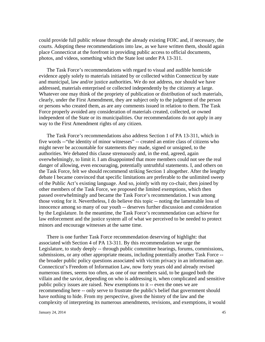could provide full public release through the already existing FOIC and, if necessary, the courts. Adopting these recommendations into law, as we have written them, should again place Connecticut at the forefront in providing public access to official documents, photos, and videos, something which the State lost under PA 13-311.

The Task Force's recommendations with regard to visual and audible homicide evidence apply solely to materials initiated by or collected within Connecticut by state and municipal, law and/or justice authorities. We do not address, nor should we have addressed, materials enterprised or collected independently by the citizenry at large. Whatever one may think of the propriety of publication or distribution of such materials, clearly, under the First Amendment, they are subject only to the judgment of the person or persons who created them, as are any comments issued in relation to them. The Task Force properly avoided any consideration of materials created, collected, or owned independent of the State or its municipalities. Our recommendations do not apply in any way to the First Amendment rights of any citizen.

The Task Force's recommendations also address Section 1 of PA 13-311, which in five words --"the identity of minor witnesses" -- created an entire class of citizens who might never be accountable for statements they made, signed or unsigned, to the authorities. We debated this clause strenuously and, in the end, agreed, again overwhelmingly, to limit it. I am disappointed that more members could not see the real danger of allowing, even encouraging, potentially untruthful statements. I, and others on the Task Force, felt we should recommend striking Section 1 altogether. After the lengthy debate I became convinced that specific limitations are preferable to the unlimited sweep of the Public Act's existing language. And so, jointly with my co-chair, then joined by other members of the Task Force, we proposed the limited exemptions, which then passed overwhelmingly and became the Task Force's recommendation. I was among those voting for it. Nevertheless, I do believe this topic -- noting the lamentable loss of innocence among so many of our youth -- deserves further discussion and consideration by the Legislature. In the meantime, the Task Force's recommendation can achieve for law enforcement and the justice system all of what we perceived to be needed to protect minors and encourage witnesses at the same time.

There is one further Task Force recommendation deserving of highlight: that associated with Section 4 of PA 13-311. By this recommendation we urge the Legislature, to study deeply -- through public committee hearings, forums, commissions, submissions, or any other appropriate means, including potentially another Task Force - the broader public policy questions associated with victim privacy in an information age. Connecticut's Freedom of Information Law, now forty years old and already revised numerous times, seems too often, as one of our members said, to be gauged both the villain and the savior, depending on who is addressing it, when complicated and sensitive public policy issues are raised. New exemptions to it -- even the ones we are recommending here -- only serve to frustrate the public's belief that government should have nothing to hide. From my perspective, given the history of the law and the complexity of interpreting its numerous amendments, revisions, and exemptions, it would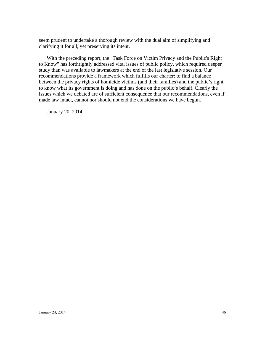seem prudent to undertake a thorough review with the dual aim of simplifying and clarifying it for all, yet preserving its intent.

With the preceding report, the "Task Force on Victim Privacy and the Public's Right to Know" has forthrightly addressed vital issues of public policy, which required deeper study than was available to lawmakers at the end of the last legislative session. Our recommendations provide a framework which fulfills our charter: to find a balance between the privacy rights of homicide victims (and their families) and the public's right to know what its government is doing and has done on the public's behalf. Clearly the issues which we debated are of sufficient consequence that our recommendations, even if made law intact, cannot nor should not end the considerations we have begun.

January 20, 2014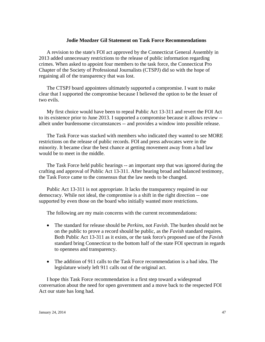#### **Jodie Mozdzer Gil Statement on Task Force Recommendations**

A revision to the state's FOI act approved by the Connecticut General Assembly in 2013 added unnecessary restrictions to the release of public information regarding crimes. When asked to appoint four members to the task force, the Connecticut Pro Chapter of the Society of Professional Journalists (CTSPJ) did so with the hope of regaining all of the transparency that was lost.

The CTSPJ board appointees ultimately supported a compromise. I want to make clear that I supported the compromise because I believed the option to be the lesser of two evils.

My first choice would have been to repeal Public Act 13-311 and revert the FOI Act to its existence prior to June 2013. I supported a compromise because it allows review - albeit under burdensome circumstances -- and provides a window into possible release.

The Task Force was stacked with members who indicated they wanted to see MORE restrictions on the release of public records. FOI and press advocates were in the minority. It became clear the best chance at getting movement away from a bad law would be to meet in the middle.

The Task Force held public hearings -- an important step that was ignored during the crafting and approval of Public Act 13-311. After hearing broad and balanced testimony, the Task Force came to the consensus that the law needs to be changed.

Public Act 13-311 is not appropriate. It lacks the transparency required in our democracy. While not ideal, the compromise is a shift in the right direction -- one supported by even those on the board who initially wanted more restrictions.

The following are my main concerns with the current recommendations:

- The standard for release should be *Perkins*, not *Favish*. The burden should not be on the public to prove a record should be public, as the *Favish* standard requires. Both Public Act 13-311 as it exists, or the task force's proposed use of the *Favish* standard bring Connecticut to the bottom half of the state FOI spectrum in regards to openness and transparency.
- The addition of 911 calls to the Task Force recommendation is a bad idea. The legislature wisely left 911 calls out of the original act.

I hope this Task Force recommendation is a first step toward a widespread conversation about the need for open government and a move back to the respected FOI Act our state has long had.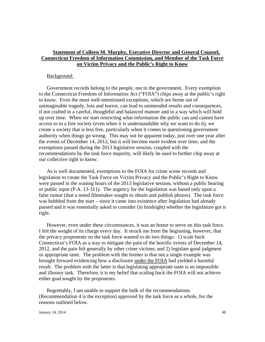## **Statement of Colleen M. Murphy, Executive Director and General Counsel, Connecticut Freedom of Information Commission, and Member of the Task Force on Victim Privacy and the Public's Right to Know**

### Background:

Government records belong to the people, not to the government. Every exemption to the Connecticut Freedom of Information Act ("FOIA") chips away at the public's right to know. Even the most well-intentioned exceptions, which are borne out of unimaginable tragedy, loss and horror, can lead to unintended results and consequences, if not crafted in a careful, thoughtful and balanced manner and in a way which will hold up over time. When we start restricting what information the public can and cannot have access to in a free society (even when it is understandable why we want to do it), we create a society that is less free, particularly when it comes to questioning government authority when things go wrong. This may not be apparent today, just over one year after the events of December 14, 2012, but it will become more evident over time; and the exemptions passed during the 2013 legislative session, coupled with the recommendations by the task force majority, will likely be used to further chip away at our collective right to know.

As is well documented, exemptions to the FOIA for crime scene records and legislation to create the Task Force on Victim Privacy and the Public's Right to Know were passed in the waning hours of the 2013 legislative session, without a public hearing or public input (P.A. 13-311). The urgency for the legislation was based only upon a false rumor (that a noted filmmaker sought to obtain and publish photos). The task force was hobbled from the start – since it came into existence after legislation had already passed and it was essentially asked to consider (in hindsight) whether the legislature got it right.

However, even under these circumstances, it was an honor to serve on this task force. I felt the weight of its charge every day. It struck me from the beginning, however, that the privacy proponents on the task force wanted to do two things: 1) scale back Connecticut's FOIA as a way to mitigate the pain of the horrific events of December 14, 2012, and the pain felt generally by other crime victims; and 2) legislate good judgment or appropriate taste. The problem with the former is that not a single example was brought forward evidencing how a disclosure under the FOIA had yielded a harmful result. The problem with the latter is that legislating appropriate taste is an impossible and illusory task. Therefore, it is my belief that scaling back the FOIA will not achieve either goal sought by the proponents.

Regrettably, I am unable to support the bulk of the recommendations (Recommendation 4 is the exception) approved by the task force as a whole, for the reasons outlined below.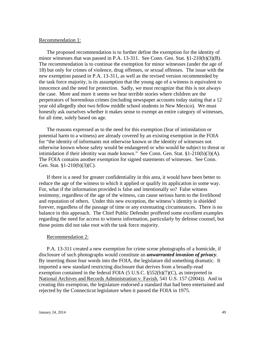#### Recommendation 1:

The proposed recommendation is to further define the exemption for the identity of minor witnesses that was passed in P.A.  $13-311$ . See Conn. Gen. Stat. §1-210(b)(3)(B). The recommendation is to continue the exemption for minor witnesses (under the age of 18) but only for crimes of violence, drug offenses, or sexual offenses. The issue with the new exemption passed in P.A. 13-311, as well as the revised version recommended by the task force majority, is its assumption that the young age of a witness is equivalent to innocence and the need for protection. Sadly, we must recognize that this is not always the case. More and more it seems we hear terrible stories where children are the perpetrators of horrendous crimes (including newspaper accounts today stating that a 12 year old allegedly shot two fellow middle school students in New Mexico). We must honestly ask ourselves whether it makes sense to exempt an entire category of witnesses, for all time, solely based on age.

The reasons expressed as to the need for this exemption (fear of intimidation or potential harm to a witness) are already covered by an existing exemption in the FOIA for "the identity of informants not otherwise known or the identity of witnesses not otherwise known whose safety would be endangered or who would be subject to threat or intimidation if their identity was made known." See Conn. Gen. Stat. §1-210(b)(3)(A). The FOIA contains another exemption for signed statements of witnesses. See Conn. Gen. Stat. §1-210(b)(3)(C).

If there is a need for greater confidentiality in this area, it would have been better to reduce the age of the witness to which it applied or qualify its application in some way. For, what if the information provided is false and intentionally so? False witness testimony, regardless of the age of the witness, can cause serious harm to the livelihood and reputation of others. Under this new exception, the witness's identity is shielded forever, regardless of the passage of time or any extenuating circumstances. There is no balance in this approach. The Chief Public Defender proffered some excellent examples regarding the need for access to witness information, particularly by defense counsel, but those points did not take root with the task force majority.

#### Recommendation 2:

P.A. 13-311 created a new exemption for crime scene photographs of a homicide, if disclosure of such photographs would constitute an *unwarranted invasion of privacy*. By inserting those four words into the FOIA, the legislature did something dramatic. It imported a new standard restricting disclosure that derives from a broadly-read exemption contained in the federal FOIA (5 U.S.C.  $\S 552(b)(7)(C)$ , as interpreted in National Archives and Records Administration v. Favish, 541 U.S. 157 (2004)). And in creating this exemption, the legislature endorsed a standard that had been entertained and rejected by the Connecticut legislature when it passed the FOIA in 1975.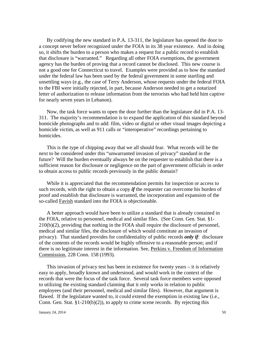By codifying the new standard in P.A. 13-311, the legislature has opened the door to a concept never before recognized under the FOIA in its 38 year existence. And in doing so, it shifts the burden to a person who makes a request for a public record to establish that disclosure is "warranted." Regarding all other FOIA exemptions, the government agency has the burden of proving that a record cannot be disclosed. This new course is not a good one for Connecticut to travel. Examples were provided as to how the standard under the federal law has been used by the federal government in some startling and unsettling ways (e.g., the case of Terry Anderson, whose requests under the federal FOIA to the FBI were initially rejected, in part, because Anderson needed to get a notarized letter of authorization to release information from the terrorists who had held him captive for nearly seven years in Lebanon).

Now, the task force wants to open the door further than the legislature did in P.A. 13- 311. The majority's recommendation is to expand the application of this standard beyond homicide photographs and to add: film, video or digital or other visual images depicting a homicide victim, as well as 911 calls or "interoperative" recordings pertaining to homicides.

This is the type of chipping away that we all should fear. What records will be the next to be considered under this "unwarranted invasion of privacy" standard in the future? Will the burden eventually always be on the requester to establish that there is a sufficient reason for disclosure or negligence on the part of government officials in order to obtain access to public records previously in the public domain?

While it is appreciated that the recommendation permits for inspection or access to such records, with the right to obtain a copy *if* the requester can overcome his burden of proof and establish that disclosure is warranted, the incorporation and expansion of the so-called Favish standard into the FOIA is objectionable.

A better approach would have been to utilize a standard that is already contained in the FOIA, relative to personnel, medical and similar files. (See Conn. Gen. Stat. §1- 210(b)(2), providing that nothing in the FOIA shall require the disclosure of personnel, medical and similar files, the disclosure of which would constitute an invasion of privacy). That standard provides for confidentiality of public records *only if*: disclosure of the contents of the records would be highly offensive to a reasonable person; and if there is no legitimate interest in the information. See, Perkins v. Freedom of Information Commission, 228 Conn. 158 (1993).

This invasion of privacy test has been in existence for twenty years – it is relatively easy to apply, broadly known and understood, and would work in the context of the records that were the focus of the task force. Several task force members were opposed to utilizing the existing standard claiming that it only works in relation to public employees (and their personnel, medical and similar files). However, that argument is flawed. If the legislature wanted to, it could extend the exemption in existing law (i.e., Conn. Gen. Stat. §1-210(b)(2)), to apply to crime scene records. By rejecting this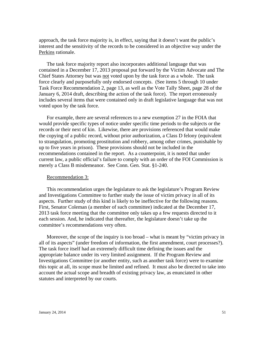approach, the task force majority is, in effect, saying that it doesn't want the public's interest and the sensitivity of the records to be considered in an objective way under the Perkins rationale.

The task force majority report also incorporates additional language that was contained in a December 17, 2013 proposal put forward by the Victim Advocate and The Chief States Attorney but was not voted upon by the task force as a whole. The task force clearly and purposefully only endorsed concepts. (See items 5 through 10 under Task Force Recommendation 2, page 13, as well as the Vote Tally Sheet, page 28 of the January 6, 2014 draft, describing the action of the task force). The report erroneously includes several items that were contained only in draft legislative language that was not voted upon by the task force.

For example, there are several references to a new exemption 27 in the FOIA that would provide specific types of notice under specific time periods to the subjects or the records or their next of kin. Likewise, there are provisions referenced that would make the copying of a public record, without prior authorization, a Class D felony (equivalent to strangulation, promoting prostitution and robbery, among other crimes, punishable by up to five years in prison). These provisions should not be included in the recommendations contained in the report. As a counterpoint, it is noted that under current law, a public official's failure to comply with an order of the FOI Commission is merely a Class B misdemeanor. See Conn. Gen. Stat. §1-240.

#### Recommendation 3:

This recommendation urges the legislature to ask the legislature's Program Review and Investigations Committee to further study the issue of victim privacy in all of its aspects. Further study of this kind is likely to be ineffective for the following reasons. First, Senator Coleman (a member of such committee) indicated at the December 17, 2013 task force meeting that the committee only takes up a few requests directed to it each session. And, he indicated that thereafter, the legislature doesn't take up the committee's recommendations very often.

Moreover, the scope of the inquiry is too broad – what is meant by "victim privacy in all of its aspects" (under freedom of information, the first amendment, court processes?). The task force itself had an extremely difficult time defining the issues and the appropriate balance under its very limited assignment. If the Program Review and Investigations Committee (or another entity, such as another task force) were to examine this topic at all, its scope must be limited and refined. It must also be directed to take into account the actual scope and breadth of existing privacy law, as enunciated in other statutes and interpreted by our courts.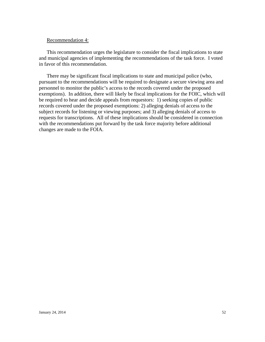#### Recommendation 4:

This recommendation urges the legislature to consider the fiscal implications to state and municipal agencies of implementing the recommendations of the task force. I voted in favor of this recommendation.

There may be significant fiscal implications to state and municipal police (who, pursuant to the recommendations will be required to designate a secure viewing area and personnel to monitor the public's access to the records covered under the proposed exemptions). In addition, there will likely be fiscal implications for the FOIC, which will be required to hear and decide appeals from requestors: 1) seeking copies of public records covered under the proposed exemptions: 2) alleging denials of access to the subject records for listening or viewing purposes; and 3) alleging denials of access to requests for transcriptions. All of these implications should be considered in connection with the recommendations put forward by the task force majority before additional changes are made to the FOIA.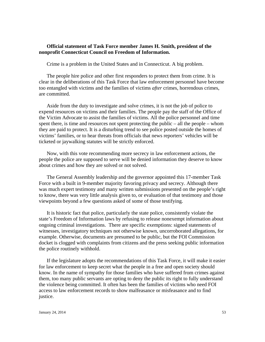## **Official statement of Task Force member James H. Smith, president of the nonprofit Connecticut Council on Freedom of Information.**

Crime is a problem in the United States and in Connecticut. A big problem.

The people hire police and other first responders to protect them from crime. It is clear in the deliberations of this Task Force that law enforcement personnel have become too entangled with victims and the families of victims *after* crimes, horrendous crimes, are committed.

Aside from the duty to investigate and solve crimes, it is not the job of police to expend resources on victims and their families. The people pay the staff of the Office of the Victim Advocate to assist the families of victims. All the police personnel and time spent there, is time and resources not spent protecting the public – all the people – whom they are paid to protect. It is a disturbing trend to see police posted outside the homes of victims' families, or to hear threats from officials that news reporters' vehicles will be ticketed or jaywalking statutes will be strictly enforced.

Now, with this vote recommending more secrecy in law enforcement actions, the people the police are supposed to serve will be denied information they deserve to know about crimes and how they are solved or not solved.

The General Assembly leadership and the governor appointed this 17-member Task Force with a built in 9-member majority favoring privacy and secrecy. Although there was much expert testimony and many written submissions presented on the people's right to know, there was very little analysis given to, or evaluation of that testimony and those viewpoints beyond a few questions asked of some of those testifying.

It is historic fact that police, particularly the state police, consistently violate the state's Freedom of Information laws by refusing to release nonexempt information about ongoing criminal investigations. There are specific exemptions: signed statements of witnesses, investigatory techniques not otherwise known, uncorroborated allegations, for example. Otherwise, documents are presumed to be public, but the FOI Commission docket is clogged with complaints from citizens and the press seeking public information the police routinely withhold.

If the legislature adopts the recommendations of this Task Force, it will make it easier for law enforcement to keep secret what the people in a free and open society should know. In the name of sympathy for those families who have suffered from crimes against them, too many public servants are opting to deny the public its right to fully understand the violence being committed. It often has been the families of victims who need FOI access to law enforcement records to show malfeasance or misfeasance and to find justice.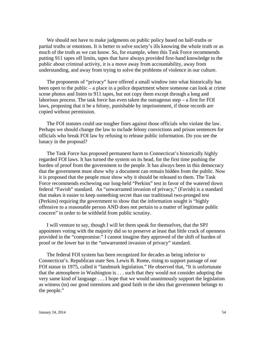We should not have to make judgments on public policy based on half-truths or partial truths or emotions. It is better to solve society's ills knowing the whole truth or as much of the truth as we can know. So, for example, when this Task Force recommends putting 911 tapes off limits, tapes that have always provided first-hand knowledge to the public about criminal activity, it is a move away from accountability, away from understanding, and away from trying to solve the problems of violence in our culture.

The proponents of "privacy" have offered a small window into what historically has been open to the public – a place in a police department where someone can look at crime scene photos and listen to 911 tapes, but not copy them except through a long and laborious process. The task force has even taken the outrageous step – a first for FOI laws, proposing that it be a felony, punishable by imprisonment, if those records are copied without permission.

The FOI statutes could use tougher fines against those officials who violate the law. Perhaps we should change the law to include felony convictions and prison sentences for officials who break FOI law by refusing to release public information. Do you see the lunacy in the proposal?

The Task Force has proposed permanent harm to Connecticut's historically highly regarded FOI laws. It has turned the system on its head, for the first time pushing the burden of proof from the government to the people. It has always been in this democracy that the government must show why a document can remain hidden from the public. Now it is proposed that the people must show why it should be released to them. The Task Force recommends eschewing our long-held "Perkins" test in favor of the watered down federal "Favish" standard. An "unwarranted invasion of privacy," (Favish) is a standard that makes it easier to keep something secret than our traditional two-pronged test (Perkins) requiring the government to show that the information sought is "highly offensive to a reasonable person AND does not pertain to a matter of legitimate public concern" in order to be withheld from public scrutiny.

I will venture to say, though I will let them speak for themselves, that the SPJ appointees voting with the majority did so to preserve at least that little crack of openness provided in the "compromise." I cannot imagine they approved of the shift of burden of proof or the lower bar in the "unwarranted invasion of privacy" standard.

The federal FOI system has been recognized for decades as being inferior to Connecticut's. Republican state Sen. Lewis B. Rome, rising to support passage of our FOI statue in 1975, called it "landmark legislation." He observed that, "It is unfortunate that the atmosphere in Washington is . . . such that they would not consider adopting the very same kind of language . . . I hope that we would unanimously support the legislation as witness (to) our good intentions and good faith in the idea that government belongs to the people."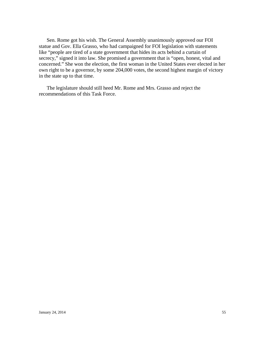Sen. Rome got his wish. The General Assembly unanimously approved our FOI statue and Gov. Ella Grasso, who had campaigned for FOI legislation with statements like "people are tired of a state government that hides its acts behind a curtain of secrecy," signed it into law. She promised a government that is "open, honest, vital and concerned." She won the election, the first woman in the United States ever elected in her own right to be a governor, by some 204,000 votes, the second highest margin of victory in the state up to that time.

The legislature should still heed Mr. Rome and Mrs. Grasso and reject the recommendations of this Task Force.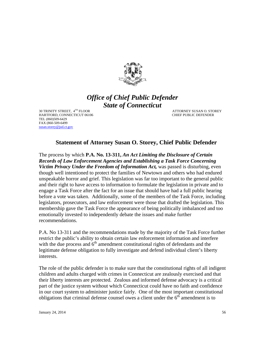

## *Office of Chief Public Defender State of Connecticut*

30 TRINITY STREET,  $4^{TH}$  FLOOR  $4^{TH}$  FLOOR  $4^{TH}$  FLOOR  $4^{TH}$  FLOOR  $4^{TH}$  FLOOR  $4^{TH}$  FLOOR  $4^{TH}$  FLOOR  $4^{TH}$  FLOOR  $4^{TH}$  FLOOR  $4^{TH}$  FLOOR  $4^{TH}$  FLOOR  $4^{TH}$  FLOOR  $4^{TH}$  FLOOR  $4^{TH}$  FLOOR  $4^{TH}$  FLOOR  $4^{TH}$  F HARTFORD, CONNECTICUT 06106 TEL (860)509-6429 FAX (860-509-6499 [susan.storey@jud.ct.gov](mailto:susan.storey@jud.ct.gov)

## **Statement of Attorney Susan O. Storey, Chief Public Defender**

The process by which **P.A. No. 13-311,** *An Act Limiting the Disclosure of Certain Records of Law Enforcement Agencies and Establishing a Task Force Concerning Victim Privacy Under the Freedom of Information Act*, was passed is disturbing, even though well intentioned to protect the families of Newtown and others who had endured unspeakable horror and grief. This legislation was far too important to the general public and their right to have access to information to formulate the legislation in private and to engage a Task Force after the fact for an issue that should have had a full public hearing before a vote was taken. Additionally, some of the members of the Task Force, including legislators, prosecutors, and law enforcement were those that drafted the legislation. This membership gave the Task Force the appearance of being politically imbalanced and too emotionally invested to independently debate the issues and make further recommendations.

P.A. No 13-311 and the recommendations made by the majority of the Task Force further restrict the public's ability to obtain certain law enforcement information and interfere with the due process and  $6<sup>th</sup>$  amendment constitutional rights of defendants and the legitimate defense obligation to fully investigate and defend individual client's liberty interests.

The role of the public defender is to make sure that the constitutional rights of all indigent children and adults charged with crimes in Connecticut are zealously exercised and that their liberty interests are protected. Zealous and informed defense advocacy is a critical part of the justice system without which Connecticut could have no faith and confidence in our court system to administer justice fairly. One of the most important constitutional obligations that criminal defense counsel owes a client under the  $6<sup>th</sup>$  amendment is to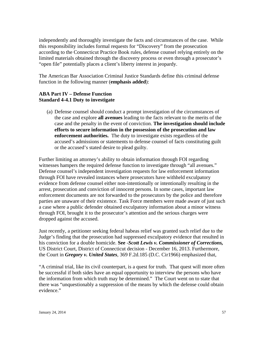independently and thoroughly investigate the facts and circumstances of the case. While this responsibility includes formal requests for "Discovery" from the prosecution according to the Connecticut Practice Book rules, defense counsel relying entirely on the limited materials obtained through the discovery process or even through a prosecutor's "open file" potentially places a client's liberty interest in jeopardy.

The American Bar Association Criminal Justice Standards define this criminal defense function in the following manner (**emphasis added**):

## **ABA Part IV – Defense Function Standard 4-4.1 Duty to investigate**

(a) Defense counsel should conduct a prompt investigation of the circumstances of the case and explore **all avenues** leading to the facts relevant to the merits of the case and the penalty in the event of conviction. **The investigation should include efforts to secure information in the possession of the prosecution and law enforcement authorities.** The duty to investigate exists regardless of the accused's admissions or statements to defense counsel of facts constituting guilt or the accused's stated desire to plead guilty.

Further limiting an attorney's ability to obtain information through FOI regarding witnesses hampers the required defense function to investigate through "all avenues." Defense counsel's independent investigation requests for law enforcement information through FOI have revealed instances where prosecutors have withheld exculpatory evidence from defense counsel either non-intentionally or intentionally resulting in the arrest, prosecution and conviction of innocent persons. In some cases, important law enforcement documents are not forwarded to the prosecutors by the police and therefore parties are unaware of their existence. Task Force members were made aware of just such a case where a public defender obtained exculpatory information about a minor witness through FOI, brought it to the prosecutor's attention and the serious charges were dropped against the accused.

Just recently, a petitioner seeking federal habeas relief was granted such relief due to the Judge's finding that the prosecution had suppressed exculpatory evidence that resulted in his conviction for a double homicide. **See** -*Scott Lewis v. Commissioner of Corrections,*  US District Court, District of Connecticut decision - December 16, 2013. Furthermore, the Court in *Gregory v. United States*, 369 F.2d.185 (D.C. Cir1966) emphasized that,

"A criminal trial, like its civil counterpart, is a quest for truth. That quest will more often be successful if both sides have an equal opportunity to interview the persons who have the information from which truth may be determined." The Court went on to state that there was "unquestionably a suppression of the means by which the defense could obtain evidence."